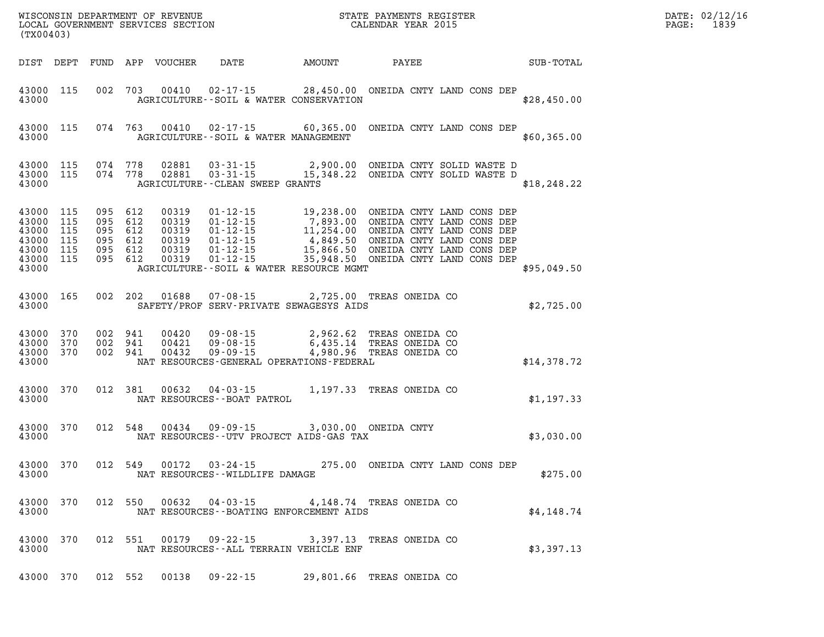| (TX00403)                                                               |                   |                                                     |         |                                                    | WISCONSIN DEPARTMENT OF REVENUE<br>LOCAL GOVERNMENT SERVICES SECTION FOR THE STATE PAYMENTS REGISTER<br>CALENDAR YEAR 2015                                                                                                                                                                    |                          |                           |           | $\mathbb{R}^n$ | DATE: 02/12/16<br>$\mathtt{PAGE}$ :<br>1839 |  |
|-------------------------------------------------------------------------|-------------------|-----------------------------------------------------|---------|----------------------------------------------------|-----------------------------------------------------------------------------------------------------------------------------------------------------------------------------------------------------------------------------------------------------------------------------------------------|--------------------------|---------------------------|-----------|----------------|---------------------------------------------|--|
|                                                                         |                   |                                                     |         | DIST DEPT FUND APP VOUCHER                         | DATE AMOUNT                                                                                                                                                                                                                                                                                   |                          | <b>PAYEE</b>              | SUB-TOTAL |                |                                             |  |
| 43000 115<br>43000                                                      |                   |                                                     |         |                                                    | 002 703 00410 02-17-15 28,450.00 ONEIDA CNTY LAND CONS DEP<br>AGRICULTURE--SOIL & WATER CONSERVATION                                                                                                                                                                                          |                          |                           |           | \$28,450.00    |                                             |  |
| 43000 115<br>43000                                                      |                   |                                                     |         |                                                    | 074 763 00410 02-17-15 60,365.00 ONEIDA CNTY LAND CONS DEP<br>AGRICULTURE--SOIL & WATER MANAGEMENT                                                                                                                                                                                            |                          |                           |           | \$60,365.00    |                                             |  |
| 43000 115<br>43000 115<br>43000                                         |                   |                                                     |         |                                                    | 074 778 02881 03-31-15 2,900.00 ONEIDA CNTY SOLID WASTE D<br>074 778 02881 03-31-15 15,348.22 ONEIDA CNTY SOLID WASTE D<br>AGRICULTURE - - CLEAN SWEEP GRANTS                                                                                                                                 |                          |                           |           | \$18, 248.22   |                                             |  |
| 43000 115<br>43000<br>43000<br>43000<br>43000 115<br>43000 115<br>43000 | 115<br>115<br>115 | 095 612<br>095 612<br>095 612<br>095 612<br>095 612 | 095 612 | 00319<br>00319<br>00319<br>00319<br>00319<br>00319 | 01-12-15<br>01-12-15<br>19,238.00 ONEIDA CNTY LAND CONS DEP<br>01-12-15<br>11,254.00 ONEIDA CNTY LAND CONS DEP<br>01-12-15<br>15,866.50 ONEIDA CNTY LAND CONS DEP<br>01-12-15<br>15,866.50 ONEIDA CNTY LAND CONS DEP<br>01-12-15<br>15,948.50 ONEI<br>AGRICULTURE--SOIL & WATER RESOURCE MGMT |                          |                           |           | \$95,049.50    |                                             |  |
| 43000 165<br>43000                                                      |                   |                                                     |         | 002 202 01688                                      | 07-08-15 2,725.00 TREAS ONEIDA CO<br>SAFETY/PROF SERV-PRIVATE SEWAGESYS AIDS                                                                                                                                                                                                                  |                          |                           |           | \$2,725.00     |                                             |  |
| 43000 370<br>43000 370<br>43000 370<br>43000                            |                   | 002 941<br>002 941<br>002 941                       |         | 00420<br>00421<br>00432                            | 09-08-15 2,962.62 TREAS ONEIDA CO<br>09-08-15 6,435.14 TREAS ONEIDA CO<br>09-09-15 4,980.96 TREAS ONEIDA CO<br>NAT RESOURCES-GENERAL OPERATIONS-FEDERAL                                                                                                                                       |                          |                           |           | \$14,378.72    |                                             |  |
| 43000<br>43000                                                          | 370               |                                                     | 012 381 | 00632                                              | 04-03-15<br>NAT RESOURCES--BOAT PATROL                                                                                                                                                                                                                                                        | 1,197.33 TREAS ONEIDA CO |                           |           | \$1,197.33     |                                             |  |
| 43000<br>43000                                                          | 370               |                                                     | 012 548 |                                                    | 00434  09-09-15  3,030.00  ONEIDA CNTY<br>NAT RESOURCES--UTV PROJECT AIDS-GAS TAX                                                                                                                                                                                                             |                          |                           |           | \$3,030.00     |                                             |  |
| 43000<br>43000                                                          | 370               |                                                     | 012 549 |                                                    | 00172  03-24-15  275.00  ONEIDA CNTY LAND CONS DEP<br>NAT RESOURCES--WILDLIFE DAMAGE                                                                                                                                                                                                          |                          |                           |           | \$275.00       |                                             |  |
| 43000<br>43000                                                          | 370               |                                                     | 012 550 | 00632                                              | 04-03-15<br>NAT RESOURCES--BOATING ENFORCEMENT AIDS                                                                                                                                                                                                                                           |                          | 4,148.74 TREAS ONEIDA CO  |           | \$4,148.74     |                                             |  |
| 43000<br>43000                                                          | 370               |                                                     | 012 551 | 00179                                              | $09 - 22 - 15$<br>NAT RESOURCES--ALL TERRAIN VEHICLE ENF                                                                                                                                                                                                                                      |                          | 3,397.13 TREAS ONEIDA CO  |           | \$3,397.13     |                                             |  |
| 43000 370                                                               |                   |                                                     | 012 552 | 00138                                              | $09 - 22 - 15$                                                                                                                                                                                                                                                                                |                          | 29,801.66 TREAS ONEIDA CO |           |                |                                             |  |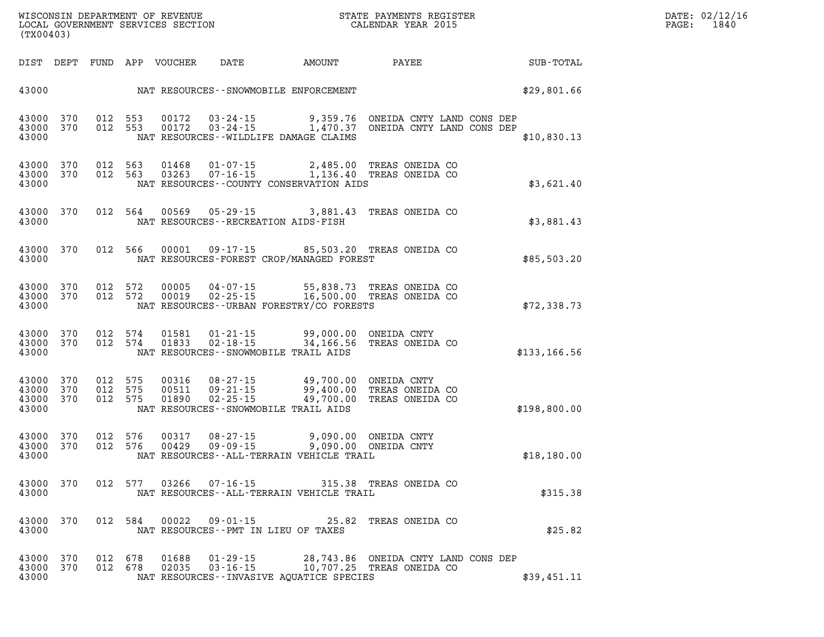| $\mathtt{DATE}$ : | 02/12/16 |
|-------------------|----------|
| PAGE:             | 1840     |

| (TX00403)                       |                        |                               |                            |                                       |                                                                                                                                             | %WISCONSIN DEPARTMENT OF REVENUE $$\tt STATE~PAYMEMTS~REGISTER~LOCAL~GOVERNMENT~SERVICES~SECTION~CALENDAR~YEAR~2015$                                                       |                             | DATE: 02/12/1<br>1840<br>PAGE: |  |  |
|---------------------------------|------------------------|-------------------------------|----------------------------|---------------------------------------|---------------------------------------------------------------------------------------------------------------------------------------------|----------------------------------------------------------------------------------------------------------------------------------------------------------------------------|-----------------------------|--------------------------------|--|--|
|                                 |                        |                               | DIST DEPT FUND APP VOUCHER |                                       |                                                                                                                                             |                                                                                                                                                                            | DATE AMOUNT PAYEE SUB-TOTAL |                                |  |  |
|                                 |                        |                               |                            |                                       | 43000 NAT RESOURCES - SNOWMOBILE ENFORCEMENT                                                                                                |                                                                                                                                                                            | \$29,801.66                 |                                |  |  |
| 43000 370<br>43000              | 43000 370              |                               |                            |                                       | NAT RESOURCES--WILDLIFE DAMAGE CLAIMS                                                                                                       | 012 553 00172 03-24-15 9,359.76 ONEIDA CNTY LAND CONS DEP<br>012 553 00172 03-24-15 1,470.37 ONEIDA CNTY LAND CONS DEP                                                     | \$10,830.13                 |                                |  |  |
| 43000                           |                        |                               |                            |                                       | NAT RESOURCES--COUNTY CONSERVATION AIDS                                                                                                     | 43000 370 012 563 01468 01-07-15 2,485.00 TREAS ONEIDA CO 43000 370 012 563 03263 07-16-15 1,136.40 TREAS ONEIDA CO                                                        | \$3,621.40                  |                                |  |  |
| 43000                           | 43000 370              |                               |                            |                                       | NAT RESOURCES - - RECREATION AIDS - FISH                                                                                                    | 012 564 00569 05-29-15 3,881.43 TREAS ONEIDA CO                                                                                                                            | \$3,881.43                  |                                |  |  |
| 43000                           | 43000 370              |                               |                            |                                       | NAT RESOURCES-FOREST CROP/MANAGED FOREST                                                                                                    | 012 566 00001 09-17-15 85,503.20 TREAS ONEIDA CO                                                                                                                           | \$85,503.20                 |                                |  |  |
| 43000                           | 43000 370<br>43000 370 |                               |                            |                                       | NAT RESOURCES--URBAN FORESTRY/CO FORESTS                                                                                                    | 012 572 00005 04-07-15 55,838.73 TREAS ONEIDA CO<br>012 572 00019 02-25-15 16,500.00 TREAS ONEIDA CO                                                                       | \$72,338.73                 |                                |  |  |
| 43000                           | 43000 370              |                               | 012 574 01833              | $02 - 18 - 15$                        | 43000 370 012 574 01581 01-21-15 99,000.00 ONEIDA CNTY<br>NAT RESOURCES - - SNOWMOBILE TRAIL AIDS                                           | 34,166.56 TREAS ONEIDA CO                                                                                                                                                  | \$133,166.56                |                                |  |  |
| 43000 370<br>43000 370<br>43000 | 43000 370              | 012 575<br>012 575<br>012 575 |                            |                                       | NAT RESOURCES - SNOWMOBILE TRAIL AIDS                                                                                                       | 00316    08-27-15           49,700.00   ONEIDA CNTY<br>00511    09-21-15            99,400.00   TREAS ONEIDA CO<br>01890    02-25-15           49,700.00   TREAS ONEIDA CO | \$198,800.00                |                                |  |  |
| 43000 370<br>43000 370<br>43000 |                        |                               |                            |                                       | 012 576 00317 08-27-15 9,090.00 ONEIDA CNTY<br>012 576 00429 09-09-15 9,090.00 ONEIDA CNTY<br>NAT RESOURCES - - ALL - TERRAIN VEHICLE TRAIL |                                                                                                                                                                            | \$18,180.00                 |                                |  |  |
| 43000 370<br>43000              |                        |                               |                            |                                       | NAT RESOURCES - - ALL - TERRAIN VEHICLE TRAIL                                                                                               | 012 577 03266 07-16-15 315.38 TREAS ONEIDA CO                                                                                                                              | \$315.38                    |                                |  |  |
| 43000 370<br>43000              |                        |                               |                            | NAT RESOURCES -- PMT IN LIEU OF TAXES |                                                                                                                                             | 012 584 00022 09-01-15 25.82 TREAS ONEIDA CO                                                                                                                               | \$25.82                     |                                |  |  |
| 43000 370<br>43000 370<br>43000 |                        | 012 678<br>012 678            | 01688<br>02035             |                                       | NAT RESOURCES--INVASIVE AQUATICE SPECIES                                                                                                    | 01-29-15 28,743.86 ONEIDA CNTY LAND CONS DEP<br>03-16-15 10,707.25 TREAS ONEIDA CO                                                                                         | \$39,451.11                 |                                |  |  |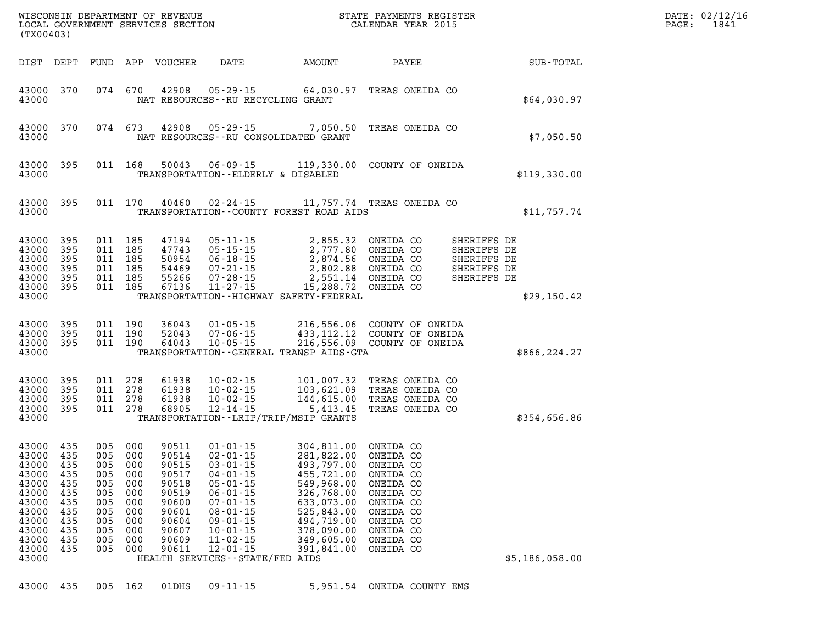| (TX00403)                                                                                                             |                                                                           |                                                                                              |                                                             |                                                                                                          |                                                                                                                                                                                                                                                         |                                                                                                                                                                                                                                                                        |                                                                                                      | STATE PAYMENTS REGISTER |                                                                         |                | PAGE: | DATE: 02/12/16<br>1841 |
|-----------------------------------------------------------------------------------------------------------------------|---------------------------------------------------------------------------|----------------------------------------------------------------------------------------------|-------------------------------------------------------------|----------------------------------------------------------------------------------------------------------|---------------------------------------------------------------------------------------------------------------------------------------------------------------------------------------------------------------------------------------------------------|------------------------------------------------------------------------------------------------------------------------------------------------------------------------------------------------------------------------------------------------------------------------|------------------------------------------------------------------------------------------------------|-------------------------|-------------------------------------------------------------------------|----------------|-------|------------------------|
|                                                                                                                       |                                                                           |                                                                                              |                                                             | DIST DEPT FUND APP VOUCHER                                                                               | <b>DATE</b>                                                                                                                                                                                                                                             | AMOUNT                                                                                                                                                                                                                                                                 | PAYEE                                                                                                |                         |                                                                         | SUB-TOTAL      |       |                        |
| 43000 370<br>43000                                                                                                    |                                                                           |                                                                                              |                                                             |                                                                                                          | 074 670 42908 05-29-15<br>NAT RESOURCES--RU RECYCLING GRANT                                                                                                                                                                                             | 64,030.97 TREAS ONEIDA CO                                                                                                                                                                                                                                              |                                                                                                      |                         |                                                                         | \$64,030.97    |       |                        |
| 43000 370<br>43000                                                                                                    |                                                                           |                                                                                              |                                                             |                                                                                                          |                                                                                                                                                                                                                                                         | 074 673 42908 05-29-15 7,050.50 TREAS ONEIDA CO<br>NAT RESOURCES - - RU CONSOLIDATED GRANT                                                                                                                                                                             |                                                                                                      |                         |                                                                         | \$7,050.50     |       |                        |
| 43000 395<br>43000                                                                                                    |                                                                           |                                                                                              | 011 168                                                     |                                                                                                          |                                                                                                                                                                                                                                                         | 50043  06-09-15  119,330.00  COUNTY OF ONEIDA<br>TRANSPORTATION--ELDERLY & DISABLED                                                                                                                                                                                    |                                                                                                      |                         |                                                                         | \$119,330.00   |       |                        |
| 43000 395<br>43000                                                                                                    |                                                                           |                                                                                              |                                                             |                                                                                                          | 011 170 40460 02-24-15                                                                                                                                                                                                                                  | 11,757.74 TREAS ONEIDA CO<br>TRANSPORTATION--COUNTY FOREST ROAD AIDS                                                                                                                                                                                                   |                                                                                                      |                         |                                                                         | \$11,757.74    |       |                        |
| 43000 395<br>43000<br>43000<br>43000<br>43000 395<br>43000 395<br>43000                                               | 395<br>- 395<br>- 395                                                     | 011 185<br>011 185<br>011 185<br>011 185<br>011 185<br>011 185                               |                                                             | 47194<br>47743<br>50954<br>54469<br>55266<br>67136                                                       |                                                                                                                                                                                                                                                         | 05-11-15 2,855.32 ONEIDA CO<br>05-15-15 2,777.80 ONEIDA CO<br>06-18-15 2,874.56 ONEIDA CO<br>07-21-15 2,802.88 ONEIDA CO<br>07-28-15 2,551.14 ONEIDA CO<br>11-27-15 15,288.72 ONEIDA CO<br>11-27-15 15,288.72 ONEIDA CO<br>TRANSPORTATION - - HIGHWAY SAFETY - FEDERAL |                                                                                                      |                         | SHERIFFS DE<br>SHERIFFS DE<br>SHERIFFS DE<br>SHERIFFS DE<br>SHERIFFS DE | \$29,150.42    |       |                        |
| 43000 395<br>43000 395<br>43000 395<br>43000                                                                          |                                                                           | 011 190                                                                                      | 011 190<br>011 190                                          | 36043<br>52043<br>64043                                                                                  | $10 - 05 - 15$                                                                                                                                                                                                                                          | 01-05-15 216,556.06 COUNTY OF ONEIDA<br>07-06-15 433,112.12 COUNTY OF ONEIDA<br>216,556.09 COUNTY OF ONEIDA<br>TRANSPORTATION--GENERAL TRANSP AIDS-GTA                                                                                                                 |                                                                                                      |                         |                                                                         | \$866,224.27   |       |                        |
| 43000 395<br>43000 395<br>43000 395<br>43000 395<br>43000                                                             |                                                                           | 011 278<br>011 278<br>011 278<br>011 278                                                     |                                                             | 61938<br>61938<br>61938<br>68905                                                                         | 10-02-15                                                                                                                                                                                                                                                | 10-02-15 101,007.32 TREAS ONEIDA CO<br>10-02-15 103,621.09 TREAS ONEIDA CO<br>10-02-15 144,615.00 TREAS ONEIDA CO<br>12-14-15 ____ ____5,413.45 TREAS ONEIDA CO<br>TRANSPORTATION--LRIP/TRIP/MSIP GRANTS                                                               |                                                                                                      |                         |                                                                         | \$354,656.86   |       |                        |
| 43000 435<br>43000<br>43000<br>43000<br>43000<br>43000<br>43000<br>43000<br>43000<br>43000<br>43000<br>43000<br>43000 | 435<br>435<br>435<br>435<br>435<br>435<br>435<br>435<br>435<br>435<br>435 | 005 000<br>005<br>005 000<br>005 000<br>005<br>005<br>005<br>005<br>005<br>005<br>005<br>005 | 000<br>000<br>000<br>000<br>000<br>000<br>000<br>000<br>000 | 90511<br>90514<br>90515<br>90517<br>90518<br>90519<br>90600<br>90601<br>90604<br>90607<br>90609<br>90611 | $01 - 01 - 15$<br>$02 - 01 - 15$<br>$03 - 01 - 15$<br>$04 - 01 - 15$<br>$05 - 01 - 15$<br>$06 - 01 - 15$<br>$07 - 01 - 15$<br>$08 - 01 - 15$<br>$09 - 01 - 15$<br>$10 - 01 - 15$<br>$11 - 02 - 15$<br>$12 - 01 - 15$<br>HEALTH SERVICES--STATE/FED AIDS | 304,811.00 ONEIDA CO<br>281,822.00 ONEIDA CO<br>493,797.00 ONEIDA CO<br>455,721.00 ONEIDA CO<br>549,968.00<br>326,768.00<br>633,073.00<br>525,843.00<br>494,719.00<br>378,090.00<br>349,605.00<br>391,841.00                                                           | ONEIDA CO<br>ONEIDA CO<br>ONEIDA CO<br>ONEIDA CO<br>ONEIDA CO<br>ONEIDA CO<br>ONEIDA CO<br>ONEIDA CO |                         |                                                                         | \$5,186,058.00 |       |                        |
| 43000                                                                                                                 | 435                                                                       | 005 162                                                                                      |                                                             | 01DHS                                                                                                    | $09 - 11 - 15$                                                                                                                                                                                                                                          | 5,951.54 ONEIDA COUNTY EMS                                                                                                                                                                                                                                             |                                                                                                      |                         |                                                                         |                |       |                        |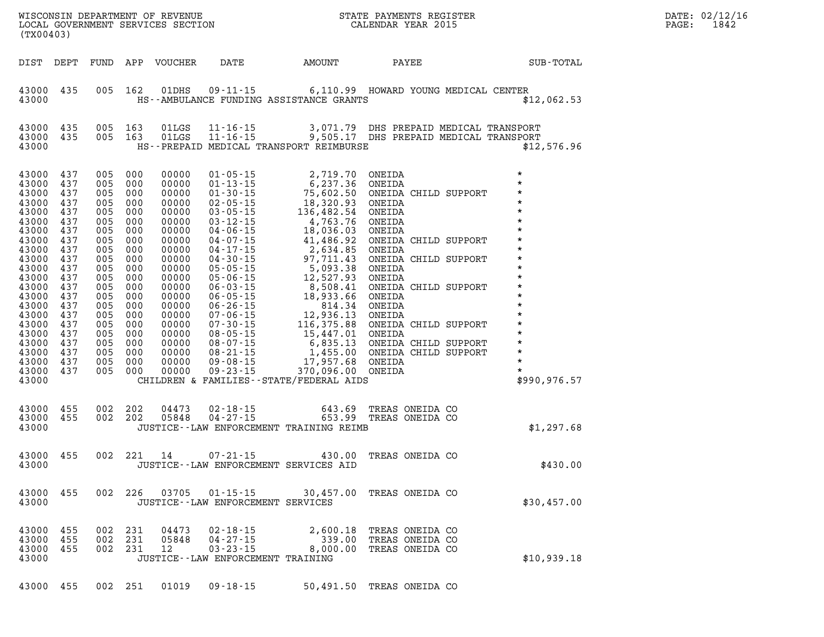| (TX00403)                                                                                                                                                                                                                                                                           |                   |                       |            |                      |                                                                                         |                                                                                                                                                                           | STATE PAYMENTS REGISTER                               |  | DATE: 02/12/16<br>$\mathtt{PAGE}$ :<br>1842                                                                                                                                                                                                                                                                                                    |  |
|-------------------------------------------------------------------------------------------------------------------------------------------------------------------------------------------------------------------------------------------------------------------------------------|-------------------|-----------------------|------------|----------------------|-----------------------------------------------------------------------------------------|---------------------------------------------------------------------------------------------------------------------------------------------------------------------------|-------------------------------------------------------|--|------------------------------------------------------------------------------------------------------------------------------------------------------------------------------------------------------------------------------------------------------------------------------------------------------------------------------------------------|--|
|                                                                                                                                                                                                                                                                                     |                   |                       |            |                      |                                                                                         | DIST DEPT FUND APP VOUCHER DATE AMOUNT PAYEE TOTAL                                                                                                                        |                                                       |  |                                                                                                                                                                                                                                                                                                                                                |  |
| 43000 435<br>43000                                                                                                                                                                                                                                                                  |                   |                       | 005 162    |                      |                                                                                         | 01DHS  09-11-15   6,110.99   HOWARD YOUNG MEDICAL CENTER<br>HS--AMBULANCE FUNDING ASSISTANCE GRANTS                                                                       |                                                       |  | \$12,062.53                                                                                                                                                                                                                                                                                                                                    |  |
| 43000 435<br>43000 435<br>43000                                                                                                                                                                                                                                                     |                   |                       |            |                      |                                                                                         | 005 163 01LGS 11-16-15 3,071.79 DHS PREPAID MEDICAL TRANSPORT<br>005 163 01LGS 11-16-15 9,505.17 DHS PREPAID MEDICAL TRANSPORT<br>HS--PREPAID MEDICAL TRANSPORT REIMBURSE |                                                       |  | \$12,576.96                                                                                                                                                                                                                                                                                                                                    |  |
| 43000 437<br>43000 437<br>43000 437<br>43000<br>43000 437<br>43000 437<br>43000 437<br>43000<br>43000 437<br>43000 437<br>43000 437<br>43000<br>43000 437<br>43000 437<br>43000 437<br>43000<br>43000 437<br>43000 437<br>43000 437<br>43000 437<br>43000 437<br>43000 437<br>43000 |                   |                       |            |                      |                                                                                         |                                                                                                                                                                           |                                                       |  | $\begin{array}{cccccc} 437 & 005 & 000 & 00000 & 01\cdot05\cdot15 & 2,719\cdot70 & \text{ONELDA} & *\\ 437 & 005 & 000 & 00000 & 01\cdot13\cdot15 & 5,237\cdot36 & \text{ONELDA} & *\\ 437 & 005 & 000 & 00000 & 01\cdot30\cdot15 & 15,302\cdot93 & \text{ONELDA} & \text{CHILD SUPPORT}\\ 437 & 005 & 000 & 00000 & 03\cdot05\cdot15 & 136,4$ |  |
| 43000 455<br>43000 455<br>43000                                                                                                                                                                                                                                                     |                   | 002 202               | 002 202    | 05848                |                                                                                         | 04473  02-18-15  643.69  TREAS ONEIDA CO<br>05848  04-27-15  653.99  TREAS ONEIDA CO<br>JUSTICE -- LAW ENFORCEMENT TRAINING REIMB                                         | 653.99 TREAS ONEIDA CO                                |  | \$1,297.68                                                                                                                                                                                                                                                                                                                                     |  |
| 43000 455<br>43000                                                                                                                                                                                                                                                                  |                   |                       |            | 002 221 14           | $07 - 21 - 15$                                                                          | JUSTICE -- LAW ENFORCEMENT SERVICES AID                                                                                                                                   | 430.00 TREAS ONEIDA CO                                |  | \$430.00                                                                                                                                                                                                                                                                                                                                       |  |
| 43000<br>43000                                                                                                                                                                                                                                                                      | 455               |                       | 002 226    | 03705                | 01-15-15<br>JUSTICE - - LAW ENFORCEMENT SERVICES                                        |                                                                                                                                                                           | 30,457.00 TREAS ONEIDA CO                             |  | \$30,457.00                                                                                                                                                                                                                                                                                                                                    |  |
| 43000<br>43000<br>43000<br>43000                                                                                                                                                                                                                                                    | 455<br>455<br>455 | 002<br>002<br>002 231 | 231<br>231 | 04473<br>05848<br>12 | $02 - 18 - 15$<br>$04 - 27 - 15$<br>$03 - 23 - 15$<br>JUSTICE--LAW ENFORCEMENT TRAINING | 2,600.18<br>339.00<br>8,000.00                                                                                                                                            | TREAS ONEIDA CO<br>TREAS ONEIDA CO<br>TREAS ONEIDA CO |  | \$10,939.18                                                                                                                                                                                                                                                                                                                                    |  |
| 43000 455                                                                                                                                                                                                                                                                           |                   |                       | 002 251    | 01019                | $09 - 18 - 15$                                                                          |                                                                                                                                                                           | 50,491.50 TREAS ONEIDA CO                             |  |                                                                                                                                                                                                                                                                                                                                                |  |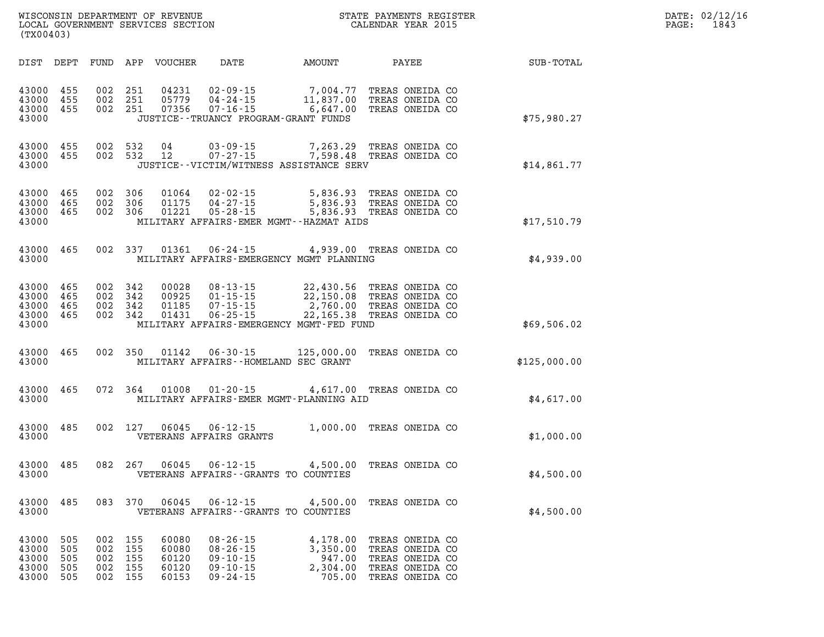| $\mathtt{DATE}$ : | 02/12/16 |
|-------------------|----------|
| PAGE:             | 1843     |

| WISCONSIN DEPARTMENT OF REVENUE<br>(TX00403)                                                                    | LOCAL GOVERNMENT SERVICES SECTION                                                                                                                                                | $\overline{V}$<br>STATE PAYMENTS REGISTER<br>CALENDAR YEAR 2015                                                                                     |              |  |  |  |  |
|-----------------------------------------------------------------------------------------------------------------|----------------------------------------------------------------------------------------------------------------------------------------------------------------------------------|-----------------------------------------------------------------------------------------------------------------------------------------------------|--------------|--|--|--|--|
| DIST<br>DEPT<br>FUND                                                                                            | APP<br>VOUCHER<br>DATE                                                                                                                                                           | AMOUNT<br>PAYEE                                                                                                                                     | SUB-TOTAL    |  |  |  |  |
| 43000<br>455<br>43000<br>455<br>002<br>43000<br>455<br>43000                                                    | 002 251<br>$04231$ $02-09-15$<br>251<br>05779<br>$04 - 24 - 15$<br>002 251<br>07356<br>$07 - 16 - 15$<br>JUSTICE - - TRUANCY PROGRAM - GRANT FUNDS                               | 7,004.77 TREAS ONEIDA CO<br>11,837.00 TREAS ONEIDA CO<br>6,647.00 TREAS ONEIDA CO                                                                   | \$75,980.27  |  |  |  |  |
| 43000<br>455<br>002<br>43000<br>455<br>43000                                                                    | 002 532<br>04<br>$03 - 09 - 15$<br>$07 - 27 - 15$<br>532<br>12<br>JUSTICE - - VICTIM/WITNESS ASSISTANCE SERV                                                                     | 7,263.29 TREAS ONEIDA CO<br>7,598.48 TREAS ONEIDA CO                                                                                                | \$14,861.77  |  |  |  |  |
| 43000<br>465<br>002<br>43000<br>465<br>002<br>43000<br>465<br>43000                                             | 306<br>01064<br>$02 - 02 - 15$<br>306<br>$01175$ $04-27-15$<br>$05 - 28 - 15$<br>002 306<br>01221<br>MILITARY AFFAIRS-EMER MGMT--HAZMAT AIDS                                     | 5,836.93 TREAS ONEIDA CO<br>5,836.93 IREAD CALLER<br>5,836.93 TREAS ONEIDA CO<br>5,336.93 mpras ONEIDA CO<br>5,836.93 TREAS ONEIDA CO               | \$17,510.79  |  |  |  |  |
| 43000<br>465<br>43000                                                                                           | 002 337<br>01361<br>MILITARY AFFAIRS-EMERGENCY MGMT PLANNING                                                                                                                     | 06-24-15 4,939.00 TREAS ONEIDA CO                                                                                                                   | \$4,939.00   |  |  |  |  |
| 465<br>002<br>43000<br>43000<br>465<br>002<br>43000<br>465<br>002<br>43000<br>465<br>002<br>43000               | 342<br>00028<br>$08 - 13 - 15$<br>342<br>00925<br>$01 - 15 - 15$<br>$07 - 15 - 15$<br>342<br>01185<br>$06 - 25 - 15$<br>342<br>01431<br>MILITARY AFFAIRS-EMERGENCY MGMT-FED FUND | 22,430.56 TREAS ONEIDA CO<br>22,150.08 TREAS ONEIDA CO<br>2,760.00 TREAS ONEIDA CO<br>22,165.38 TREAS ONEIDA CO                                     | \$69,506.02  |  |  |  |  |
| 43000<br>465<br>002<br>43000                                                                                    | 01142<br>350<br>$06 - 30 - 15$<br>MILITARY AFFAIRS--HOMELAND SEC GRANT                                                                                                           | 125,000.00<br>TREAS ONEIDA CO                                                                                                                       | \$125,000.00 |  |  |  |  |
| 43000<br>465<br>43000                                                                                           | 01008<br>$01 - 20 - 15$<br>072 364<br>MILITARY AFFAIRS-EMER MGMT-PLANNING AID                                                                                                    | 4,617.00 TREAS ONEIDA CO                                                                                                                            | \$4,617.00   |  |  |  |  |
| 485<br>002<br>43000<br>43000                                                                                    | 127<br>06045<br>$06 - 12 - 15$<br>VETERANS AFFAIRS GRANTS                                                                                                                        | 1,000.00 TREAS ONEIDA CO                                                                                                                            | \$1,000.00   |  |  |  |  |
| 43000<br>485<br>082<br>43000                                                                                    | 267<br>$06 - 12 - 15$<br>06045<br>VETERANS AFFAIRS - - GRANTS TO COUNTIES                                                                                                        | 4,500.00 TREAS ONEIDA CO                                                                                                                            | \$4,500.00   |  |  |  |  |
| 083<br>43000<br>485<br>43000                                                                                    | 370<br>06045<br>VETERANS AFFAIRS -- GRANTS TO COUNTIES                                                                                                                           | 06-12-15 4,500.00 TREAS ONEIDA CO                                                                                                                   | \$4,500.00   |  |  |  |  |
| 43000<br>505<br>002<br>43000<br>505<br>002<br>43000<br>505<br>002<br>43000<br>505<br>002<br>43000<br>505<br>002 | 155<br>60080<br>$08 - 26 - 15$<br>60080<br>$08 - 26 - 15$<br>155<br>155<br>60120<br>$09 - 10 - 15$<br>155<br>60120<br>$09 - 10 - 15$<br>155<br>60153<br>$09 - 24 - 15$           | 4,178.00<br>TREAS ONEIDA CO<br>TREAS ONEIDA CO<br>3,350.00<br>947.00<br>TREAS ONEIDA CO<br>2,304.00<br>TREAS ONEIDA CO<br>705.00<br>TREAS ONEIDA CO |              |  |  |  |  |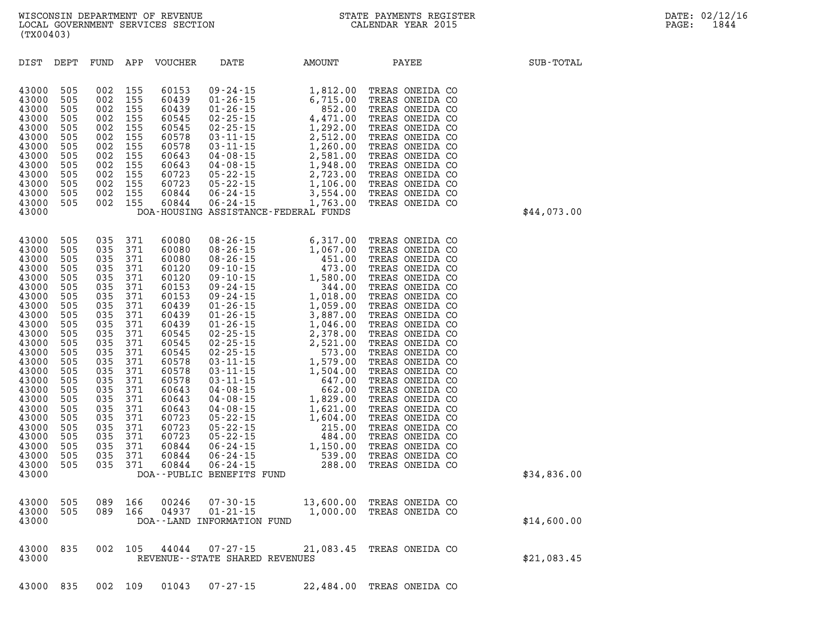| DIST           | DEPT       | FUND       | APP        | <b>VOUCHER</b> | DATE                              | <b>AMOUNT</b>                                                                                                                                                                                                                                                                                                                                    | PAYEE                              | SUB-TOTAL   |
|----------------|------------|------------|------------|----------------|-----------------------------------|--------------------------------------------------------------------------------------------------------------------------------------------------------------------------------------------------------------------------------------------------------------------------------------------------------------------------------------------------|------------------------------------|-------------|
| 43000          | 505        | 002        | 155        | 60153          |                                   | 09-24-15<br>01-26-15<br>01-26-15<br>01-26-15<br>02-25-15<br>02-25-15<br>03-11-15<br>2,512.00<br>03-11-15<br>2,512.00<br>03-11-15<br>2,512.00<br>04-08-15<br>2,581.00<br>04-08-15<br>2,723.00<br>05-22-15<br>2,723.00<br>05-22-15<br>2,723.00<br>06-24-15<br>3,554.00<br>06                                                                       | TREAS ONEIDA CO                    |             |
| 43000          | 505        | 002        | 155        | 60439          |                                   |                                                                                                                                                                                                                                                                                                                                                  | TREAS ONEIDA CO                    |             |
| 43000          | 505        | 002        | 155        | 60439          |                                   |                                                                                                                                                                                                                                                                                                                                                  | TREAS ONEIDA CO                    |             |
| 43000          | 505        | 002        | 155        | 60545          |                                   |                                                                                                                                                                                                                                                                                                                                                  | TREAS ONEIDA CO                    |             |
| 43000          | 505        | 002        | 155        | 60545          |                                   |                                                                                                                                                                                                                                                                                                                                                  | TREAS ONEIDA CO                    |             |
| 43000          | 505        | 002        | 155        | 60578          |                                   |                                                                                                                                                                                                                                                                                                                                                  | TREAS ONEIDA CO                    |             |
| 43000<br>43000 | 505<br>505 | 002<br>002 | 155<br>155 | 60578<br>60643 |                                   |                                                                                                                                                                                                                                                                                                                                                  | TREAS ONEIDA CO<br>TREAS ONEIDA CO |             |
| 43000          | 505        | 002        | 155        | 60643          |                                   |                                                                                                                                                                                                                                                                                                                                                  | TREAS ONEIDA CO                    |             |
| 43000          | 505        | 002        | 155        | 60723          |                                   |                                                                                                                                                                                                                                                                                                                                                  | TREAS ONEIDA CO                    |             |
| 43000          | 505        | 002        | 155        | 60723          |                                   |                                                                                                                                                                                                                                                                                                                                                  | TREAS ONEIDA CO                    |             |
| 43000          | 505        | 002        | 155        | 60844          |                                   |                                                                                                                                                                                                                                                                                                                                                  | TREAS ONEIDA CO                    |             |
| 43000          | 505        | 002        | 155        | 60844          |                                   |                                                                                                                                                                                                                                                                                                                                                  | TREAS ONEIDA CO                    |             |
| 43000          |            |            |            |                |                                   | DOA-HOUSING ASSISTANCE-FEDERAL FUNDS                                                                                                                                                                                                                                                                                                             |                                    | \$44,073.00 |
| 43000          | 505        | 035        | 371        | 60080          |                                   | $\begin{array}{cccc} 08\texttt{-}26\texttt{-}15 & 6,317.00 \\ 08\texttt{-}26\texttt{-}15 & 1,067.00 \\ 09\texttt{-}10\texttt{-}15 & 451.00 \\ 09\texttt{-}10\texttt{-}15 & 473.00 \\ 09\texttt{-}24\texttt{-}15 & 344.00 \\ 01\texttt{-}26\texttt{-}15 & 1,018.00 \\ 01\texttt{-}26\texttt{-}15 & 1,018.00 \\ 01\texttt{-}26\texttt{-}15 & 3,88$ | TREAS ONEIDA CO                    |             |
| 43000          | 505        | 035        | 371        | 60080          |                                   |                                                                                                                                                                                                                                                                                                                                                  | TREAS ONEIDA CO                    |             |
| 43000          | 505        | 035        | 371        | 60080          |                                   |                                                                                                                                                                                                                                                                                                                                                  | TREAS ONEIDA CO                    |             |
| 43000          | 505        | 035        | 371        | 60120          |                                   |                                                                                                                                                                                                                                                                                                                                                  | TREAS ONEIDA CO                    |             |
| 43000          | 505        | 035        | 371        | 60120          |                                   |                                                                                                                                                                                                                                                                                                                                                  | TREAS ONEIDA CO                    |             |
| 43000          | 505        | 035        | 371        | 60153          |                                   |                                                                                                                                                                                                                                                                                                                                                  | TREAS ONEIDA CO                    |             |
| 43000          | 505        | 035        | 371        | 60153          |                                   |                                                                                                                                                                                                                                                                                                                                                  | TREAS ONEIDA CO                    |             |
| 43000<br>43000 | 505<br>505 | 035<br>035 | 371<br>371 | 60439<br>60439 |                                   |                                                                                                                                                                                                                                                                                                                                                  | TREAS ONEIDA CO<br>TREAS ONEIDA CO |             |
| 43000          | 505        | 035        | 371        | 60439          |                                   |                                                                                                                                                                                                                                                                                                                                                  | TREAS ONEIDA CO                    |             |
| 43000          | 505        | 035        | 371        | 60545          |                                   |                                                                                                                                                                                                                                                                                                                                                  | TREAS ONEIDA CO                    |             |
| 43000          | 505        | 035        | 371        | 60545          |                                   |                                                                                                                                                                                                                                                                                                                                                  | TREAS ONEIDA CO                    |             |
| 43000          | 505        | 035        | 371        | 60545          |                                   |                                                                                                                                                                                                                                                                                                                                                  | TREAS ONEIDA CO                    |             |
| 43000          | 505        | 035        | 371        | 60578          |                                   |                                                                                                                                                                                                                                                                                                                                                  | TREAS ONEIDA CO                    |             |
| 43000          | 505        | 035        | 371        | 60578          |                                   |                                                                                                                                                                                                                                                                                                                                                  | TREAS ONEIDA CO                    |             |
| 43000          | 505        | 035        | 371        | 60578          |                                   |                                                                                                                                                                                                                                                                                                                                                  | TREAS ONEIDA CO                    |             |
| 43000<br>43000 | 505<br>505 | 035<br>035 | 371<br>371 | 60643<br>60643 |                                   |                                                                                                                                                                                                                                                                                                                                                  | TREAS ONEIDA CO<br>TREAS ONEIDA CO |             |
| 43000          | 505        | 035        | 371        | 60643          |                                   |                                                                                                                                                                                                                                                                                                                                                  | TREAS ONEIDA CO                    |             |
| 43000          | 505        | 035        | 371        | 60723          |                                   |                                                                                                                                                                                                                                                                                                                                                  | TREAS ONEIDA CO                    |             |
| 43000          | 505        | 035        | 371        | 60723          |                                   |                                                                                                                                                                                                                                                                                                                                                  | TREAS ONEIDA CO                    |             |
| 43000          | 505        | 035        | 371        | 60723          |                                   |                                                                                                                                                                                                                                                                                                                                                  | TREAS ONEIDA CO                    |             |
| 43000          | 505        | 035        | 371        | 60844          |                                   |                                                                                                                                                                                                                                                                                                                                                  | TREAS ONEIDA CO                    |             |
| 43000          | 505        | 035        | 371        | 60844          |                                   |                                                                                                                                                                                                                                                                                                                                                  | TREAS ONEIDA CO                    |             |
| 43000<br>43000 | 505        | 035        | 371        | 60844          | DOA--PUBLIC BENEFITS FUND         |                                                                                                                                                                                                                                                                                                                                                  | TREAS ONEIDA CO                    | \$34,836.00 |
|                |            |            |            |                |                                   |                                                                                                                                                                                                                                                                                                                                                  |                                    |             |
| 43000          | 505        | 089        | 166        | 00246          | $07 - 30 - 15$<br>$01 - 21 - 15$  |                                                                                                                                                                                                                                                                                                                                                  | 13,600.00 TREAS ONEIDA CO          |             |
| 43000          | 505        | 089        | 166        | 04937          |                                   | 1,000.00                                                                                                                                                                                                                                                                                                                                         | TREAS ONEIDA CO                    |             |
| 43000          |            |            |            |                | DOA--LAND INFORMATION FUND        |                                                                                                                                                                                                                                                                                                                                                  |                                    | \$14,600.00 |
| 43000          | 835        | 002        | 105        | 44044          | $07 - 27 - 15$                    |                                                                                                                                                                                                                                                                                                                                                  | 21,083.45 TREAS ONEIDA CO          |             |
| 43000          |            |            |            |                | REVENUE - - STATE SHARED REVENUES |                                                                                                                                                                                                                                                                                                                                                  |                                    | \$21,083.45 |
|                |            |            |            |                |                                   |                                                                                                                                                                                                                                                                                                                                                  |                                    |             |

**43000 835 002 109 01043 07-27-15 22,484.00 TREAS ONEIDA CO**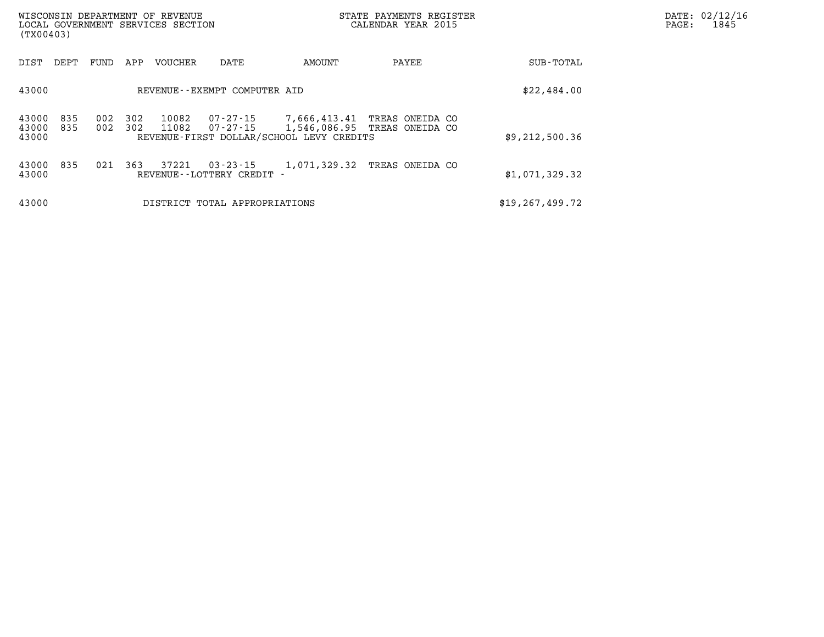| (TX00403)               |            |            |            | WISCONSIN DEPARTMENT OF REVENUE<br>LOCAL GOVERNMENT SERVICES SECTION |                                              |                                                          | STATE PAYMENTS REGISTER<br>CALENDAR YEAR 2015   | DATE: 02/12/16<br>1845<br>PAGE: |  |  |
|-------------------------|------------|------------|------------|----------------------------------------------------------------------|----------------------------------------------|----------------------------------------------------------|-------------------------------------------------|---------------------------------|--|--|
| DIST                    | DEPT       | FUND       | APP        | VOUCHER                                                              | DATE                                         | AMOUNT                                                   | PAYEE                                           | SUB-TOTAL                       |  |  |
| 43000                   |            |            |            |                                                                      | REVENUE--EXEMPT COMPUTER AID                 |                                                          |                                                 | \$22,484.00                     |  |  |
| 43000<br>43000<br>43000 | 835<br>835 | 002<br>002 | 302<br>302 | 10082<br>11082                                                       | 07-27-15<br>07-27-15                         | 7,666,413.41<br>REVENUE-FIRST DOLLAR/SCHOOL LEVY CREDITS | TREAS ONEIDA CO<br>1,546,086.95 TREAS ONEIDA CO | \$9,212,500.36                  |  |  |
| 43000<br>43000          | 835        | 021        | 363        | 37221                                                                | $03 - 23 - 15$<br>REVENUE - - LOTTERY CREDIT | 1,071,329.32                                             | TREAS ONEIDA CO                                 | \$1,071,329.32                  |  |  |
| 43000                   |            |            |            |                                                                      | DISTRICT TOTAL APPROPRIATIONS                |                                                          |                                                 | \$19, 267, 499.72               |  |  |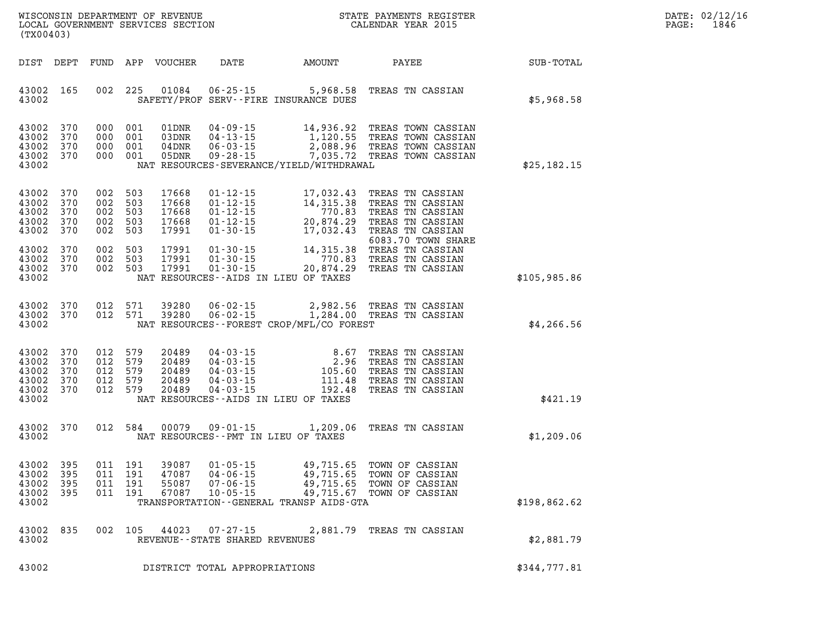| DATE:             | 02/12/16 |
|-------------------|----------|
| $\mathtt{PAGE}$ : | 1846     |

| (TX00403)                                                                                         | LOCAL GOVERNMENT SERVICES SECTION                                                                                                                                                   |                                                                                 | CALENDAR YEAR 2015                                                                                                                                                                                                                                                         |              | PAGE: | 1846 |
|---------------------------------------------------------------------------------------------------|-------------------------------------------------------------------------------------------------------------------------------------------------------------------------------------|---------------------------------------------------------------------------------|----------------------------------------------------------------------------------------------------------------------------------------------------------------------------------------------------------------------------------------------------------------------------|--------------|-------|------|
| DIST DEPT                                                                                         | FUND APP VOUCHER<br><b>DATE</b>                                                                                                                                                     | AMOUNT                                                                          | PAYEE                                                                                                                                                                                                                                                                      | SUB-TOTAL    |       |      |
| 43002 165<br>002<br>43002                                                                         | 225<br>01084<br>SAFETY/PROF SERV--FIRE INSURANCE DUES                                                                                                                               | $06 - 25 - 15$ 5,968.58                                                         | TREAS TN CASSIAN                                                                                                                                                                                                                                                           | \$5,968.58   |       |      |
| 370<br>43002<br>43002<br>370<br>43002<br>370<br>43002<br>370<br>43002                             | 000 001<br>$04 - 09 - 15$<br>01DNR<br>000 001<br>03DNR<br>000 001<br>04DNR<br>000 001<br>05DNR<br>NAT RESOURCES-SEVERANCE/YIELD/WITHDRAWAL                                          |                                                                                 | 14,936.92 TREAS TOWN CASSIAN<br>04-09-15 14,936.92 TREAS TOWN CASSIAN<br>04-13-15 1,120.55 TREAS TOWN CASSIAN<br>06-03-15 2,088.96 TREAS TOWN CASSIAN<br>09-28-15 7,035.72 TREAS TOWN CASSIAN<br>7,035.72 TREAS TOWN CASSIAN                                               | \$25,182.15  |       |      |
| 370<br>43002<br>43002<br>370<br>002<br>43002<br>370<br>43002<br>002<br>370<br>43002<br>370<br>002 | 002 503<br>$01 - 12 - 15$<br>17668<br>503<br>$01 - 12 - 15$<br>17668<br>002 503<br>$01 - 12 - 15$<br>17668<br>503<br>$01 - 12 - 15$<br>17668<br>503<br>17991<br>$01 - 30 - 15$      | 17,032.43<br>$14,315.38$<br>$770.83$<br>$20,874.29$<br>$17,032.43$<br>17,032.43 | TREAS TN CASSIAN<br>TREAS TN CASSIAN<br>770.83 TREAS TN CASSIAN<br>TREAS TN CASSIAN<br>TREAS TN CASSIAN<br>6083.70 TOWN SHARE                                                                                                                                              |              |       |      |
| 43002<br>370<br>002<br>43002<br>370<br>002<br>43002<br>370<br>43002                               | 503<br>17991<br>503<br>17991<br>002 503<br>17991<br>NAT RESOURCES--AIDS IN LIEU OF TAXES                                                                                            |                                                                                 | 0003.70 TOWN SHAR<br>01-30-15 14,315.38 TREAS TN CASSIAN<br>01-30-15 770.83 TREAS TN CASSIAN<br>01-30-15 20,874.29 TREAS TN CASSIAN                                                                                                                                        | \$105,985.86 |       |      |
| 370<br>43002<br>43002<br>370<br>43002                                                             | 012 571<br>39280<br>$06 - 02 - 15$<br>$06 - 02 - 15$<br>012 571<br>39280<br>NAT RESOURCES--FOREST CROP/MFL/CO FOREST                                                                |                                                                                 | 2,982.56 TREAS TN CASSIAN<br>1,284.00 TREAS TN CASSIAN                                                                                                                                                                                                                     | \$4,266.56   |       |      |
| 43002<br>370<br>43002<br>370<br>43002<br>370<br>43002<br>370<br>43002<br>370<br>43002             | 012 579<br>20489<br>012 579<br>20489<br>012 579<br>20489<br>012 579<br>20489<br>012 579<br>20489<br>NAT RESOURCES--AIDS IN LIEU OF TAXES                                            |                                                                                 | 04-03-15<br>04-03-15<br>04-03-15<br>04-03-15<br>04-03-15<br>04-03-15<br>04-03-15<br>04-03-15<br>04-03-15<br>04-03-15<br>04-03-15<br>04-03-15<br>04-03-15<br>04-03-15<br>04-03-15<br>04-03-15<br>04-03-15<br>04-03-15<br>04-03-15<br>04-03-15<br>04-03-15<br>04-03-15<br>04 | \$421.19     |       |      |
| 43002<br>370<br>43002                                                                             | 012 584<br>00079<br>$09 - 01 - 15$<br>NAT RESOURCES -- PMT IN LIEU OF TAXES                                                                                                         | 1,209.06                                                                        | TREAS TN CASSIAN                                                                                                                                                                                                                                                           | \$1,209.06   |       |      |
| 395<br>43002<br>43002<br>395<br>43002<br>395<br>43002 395<br>43002                                | 011 191<br>$01 - 05 - 15$<br>39087<br>011 191<br>$04 - 06 - 15$<br>47087<br>011 191<br>55087<br>$07 - 06 - 15$<br>011 191 67087 10-05-15<br>TRANSPORTATION--GENERAL TRANSP AIDS-GTA | 49,715.65<br>49,715.65<br>49,715.65                                             | TOWN OF CASSIAN<br>TOWN OF CASSIAN<br>TOWN OF CASSIAN<br>49,715.67 TOWN OF CASSIAN                                                                                                                                                                                         | \$198,862.62 |       |      |
| 43002<br>835<br>43002                                                                             | 002 105 44023 07-27-15 2,881.79 TREAS TN CASSIAN<br>REVENUE--STATE SHARED REVENUES                                                                                                  |                                                                                 |                                                                                                                                                                                                                                                                            | \$2,881.79   |       |      |
| 43002                                                                                             | DISTRICT TOTAL APPROPRIATIONS                                                                                                                                                       |                                                                                 |                                                                                                                                                                                                                                                                            | \$344,777.81 |       |      |

WISCONSIN DEPARTMENT OF REVENUE **STATE PAYMENTS REGISTER**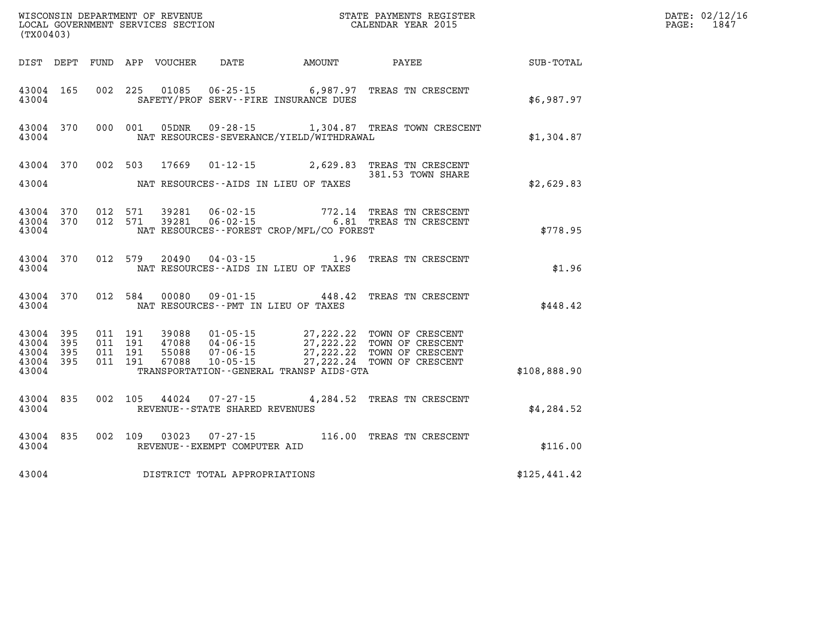|                                          | (TX00403)      |                    |                    |                            |                                   |                                              |                                                                                                                                                                                          |              | DATE: 02/12/16<br>$\mathtt{PAGE:}$<br>1847 |
|------------------------------------------|----------------|--------------------|--------------------|----------------------------|-----------------------------------|----------------------------------------------|------------------------------------------------------------------------------------------------------------------------------------------------------------------------------------------|--------------|--------------------------------------------|
|                                          |                |                    |                    | DIST DEPT FUND APP VOUCHER | DATE                              | <b>AMOUNT</b>                                | PAYEE                                                                                                                                                                                    | SUB-TOTAL    |                                            |
| 43004 165<br>43004                       |                |                    |                    |                            |                                   | SAFETY/PROF SERV--FIRE INSURANCE DUES        | 002 225 01085 06-25-15 6,987.97 TREAS TN CRESCENT                                                                                                                                        | \$6,987.97   |                                            |
| 43004                                    | 43004 370      | 000 001            |                    |                            |                                   | NAT RESOURCES-SEVERANCE/YIELD/WITHDRAWAL     | 05DNR  09-28-15  1,304.87 TREAS TOWN CRESCENT                                                                                                                                            | \$1,304.87   |                                            |
|                                          | 43004 370      |                    |                    | 002 503 17669              |                                   |                                              | 01-12-15 2,629.83 TREAS TN CRESCENT                                                                                                                                                      |              |                                            |
| 43004                                    |                |                    |                    |                            |                                   | NAT RESOURCES--AIDS IN LIEU OF TAXES         | 381.53 TOWN SHARE                                                                                                                                                                        | \$2,629.83   |                                            |
| 43004 370<br>43004                       | 43004 370      |                    | 012 571<br>012 571 | 39281<br>39281             |                                   | NAT RESOURCES - - FOREST CROP/MFL/CO FOREST  | 06-02-15 772.14 TREAS TN CRESCENT<br>06-02-15 6.81 TREAS TN CRESCENT                                                                                                                     | \$778.95     |                                            |
| 43004                                    | 43004 370      |                    | 012 579            |                            |                                   | NAT RESOURCES--AIDS IN LIEU OF TAXES         | 20490  04-03-15  1.96  TREAS TN CRESCENT                                                                                                                                                 | \$1.96       |                                            |
| 43004                                    | 43004 370      |                    | 012 584            |                            |                                   | NAT RESOURCES - PMT IN LIEU OF TAXES         | 00080  09-01-15  448.42  TREAS TN CRESCENT                                                                                                                                               | \$448.42     |                                            |
| 43004 395<br>43004<br>43004<br>43004 395 | - 395<br>- 395 | 011 191<br>011 191 | 011 191<br>011 191 |                            |                                   |                                              | 39088  01-05-15  27,222.22 TOWN OF CRESCENT<br>47088  04-06-15  27,222.22 TOWN OF CRESCENT<br>55088  07-06-15  27,222.22 TOWN OF CRESCENT<br>67088  10-05-15  27,222.24 TOWN OF CRESCENT |              |                                            |
| 43004                                    |                |                    |                    |                            |                                   | TRANSPORTATION - - GENERAL TRANSP AIDS - GTA |                                                                                                                                                                                          | \$108,888.90 |                                            |
| 43004 835<br>43004                       |                |                    | 002 105            | 44024                      | REVENUE - - STATE SHARED REVENUES |                                              | 07-27-15 4,284.52 TREAS TN CRESCENT                                                                                                                                                      | \$4,284.52   |                                            |
| 43004                                    | 43004 835      | 002 109            |                    | 03023                      | REVENUE--EXEMPT COMPUTER AID      |                                              | 07-27-15 116.00 TREAS TN CRESCENT                                                                                                                                                        | \$116.00     |                                            |
| 43004                                    |                |                    |                    |                            | DISTRICT TOTAL APPROPRIATIONS     |                                              |                                                                                                                                                                                          | \$125,441.42 |                                            |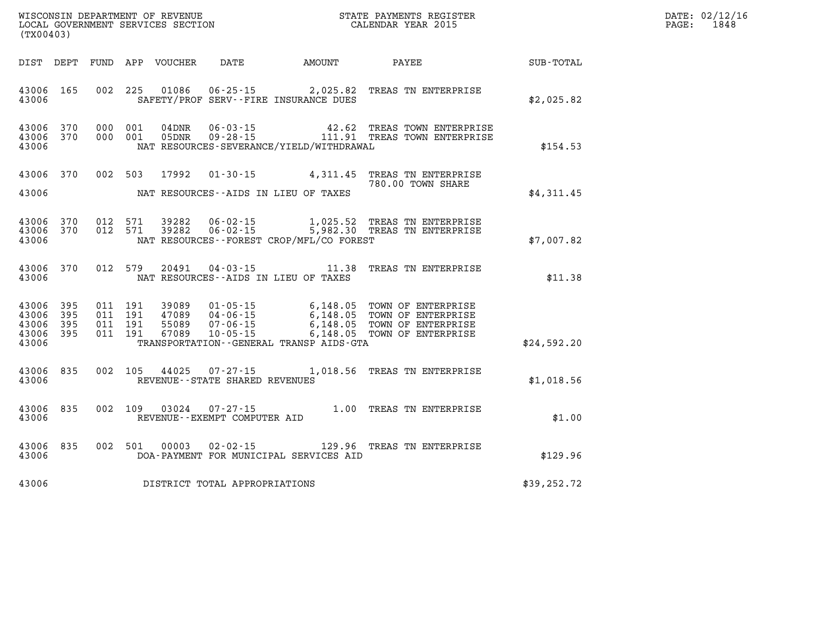| WISCONSIN DEPARTMENT OF REVENUE      | PAYMENTS REGISTER<br>3TATE | DATE: | 02/12/16 |
|--------------------------------------|----------------------------|-------|----------|
| GOVERNMENT SERVICES SECTION<br>LOCAL | CALENDAR YEAR 2015         | PAGE  | 1848     |

| (TX00403)                                         |            |                                          | LOCAL GOVERNMENT SERVICES SECTION |                                | CALENDAR YEAR 2015                                                                                                                                     |  |                   |              | PAGE: | 1848 |
|---------------------------------------------------|------------|------------------------------------------|-----------------------------------|--------------------------------|--------------------------------------------------------------------------------------------------------------------------------------------------------|--|-------------------|--------------|-------|------|
|                                                   |            |                                          |                                   |                                | DIST DEPT FUND APP VOUCHER DATE AMOUNT PAYEE SUB-TOTAL                                                                                                 |  |                   |              |       |      |
| 43006                                             | 43006 165  |                                          |                                   |                                | 002 225 01086 06-25-15 2,025.82 TREAS TN ENTERPRISE<br>SAFETY/PROF SERV--FIRE INSURANCE DUES                                                           |  |                   | \$2,025.82   |       |      |
| 43006 370<br>43006                                | 43006 370  | 000 001<br>000 001                       |                                   |                                | 04DNR  06-03-15  42.62 TREAS TOWN ENTERPRISE<br>05DNR  09-28-15   111.91 TREAS TOWN ENTERPRISE<br>NAT RESOURCES-SEVERANCE/YIELD/WITHDRAWAL             |  |                   | \$154.53     |       |      |
|                                                   | 43006 370  |                                          | 002 503 17992                     |                                | 01-30-15 4,311.45 TREAS TN ENTERPRISE                                                                                                                  |  | 780.00 TOWN SHARE |              |       |      |
| 43006                                             |            |                                          |                                   |                                | NAT RESOURCES--AIDS IN LIEU OF TAXES                                                                                                                   |  |                   | \$4,311.45   |       |      |
| 43006 370<br>43006                                | 43006 370  |                                          |                                   |                                | 012 571 39282 06-02-15 1,025.52 TREAS TN ENTERPRISE<br>012 571 39282 06-02-15 5,982.30 TREAS TN ENTERPRISE<br>NAT RESOURCES--FOREST CROP/MFL/CO FOREST |  |                   | \$7,007.82   |       |      |
| 43006 370<br>43006                                |            | 012 579                                  | 20491                             |                                | 04-03-15 11.38 TREAS TN ENTERPRISE<br>NAT RESOURCES--AIDS IN LIEU OF TAXES                                                                             |  |                   | \$11.38      |       |      |
| 43006 395<br>43006<br>43006<br>43006 395<br>43006 | 395<br>395 | 011 191<br>011 191<br>011 191<br>011 191 | 39089<br>47089<br>55089<br>67089  | $10 - 05 - 15$                 | 01-05-15 6,148.05 TOWN OF ENTERPRISE<br>6,148.05 TOWN OF ENTERPRISE<br>TRANSPORTATION--GENERAL TRANSP AIDS-GTA                                         |  |                   | \$24,592.20  |       |      |
| 43006                                             | 43006 835  |                                          |                                   | REVENUE--STATE SHARED REVENUES | 002 105 44025 07-27-15 1,018.56 TREAS TN ENTERPRISE                                                                                                    |  |                   | \$1,018.56   |       |      |
| 43006                                             | 43006 835  |                                          |                                   | REVENUE--EXEMPT COMPUTER AID   | 002 109 03024 07-27-15 1.00 TREAS TN ENTERPRISE                                                                                                        |  |                   | \$1.00       |       |      |
| 43006                                             | 43006 835  |                                          |                                   |                                | 002 501 00003 02-02-15 129.96 TREAS TN ENTERPRISE<br>DOA-PAYMENT FOR MUNICIPAL SERVICES AID                                                            |  |                   | \$129.96     |       |      |
| 43006                                             |            |                                          |                                   | DISTRICT TOTAL APPROPRIATIONS  |                                                                                                                                                        |  |                   | \$39, 252.72 |       |      |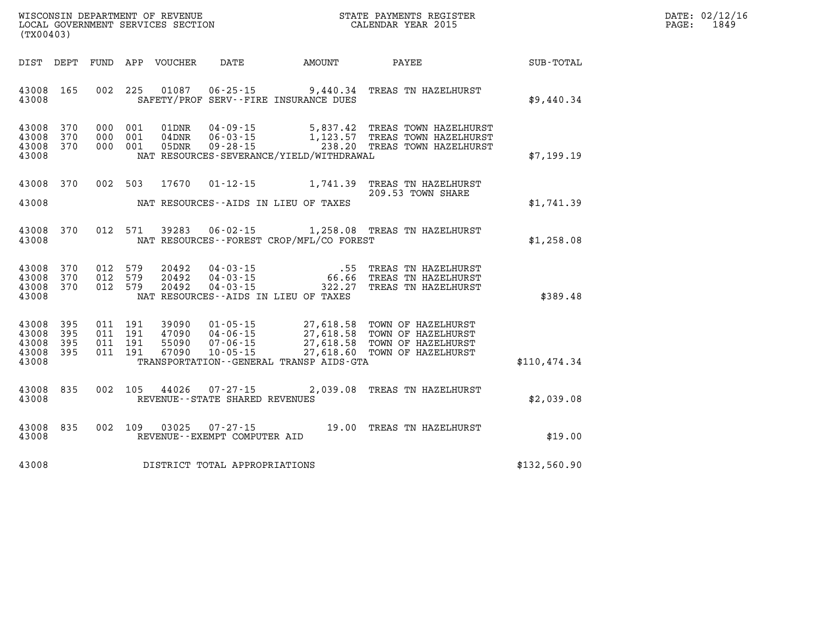| $\mathtt{DATE}$ : | 02/12/16 |
|-------------------|----------|
| PAGE:             | 1849     |

| WISCONSIN DEPARTMENT OF REVENUE<br>LOCAL GOVERNMENT SERVICES SECTION<br>(TX00403)                 |                                                                                                                                                                                 | STATE PAYMENTS REGISTER<br>CALENDAR YEAR 2015    |                                                                                      |                  |
|---------------------------------------------------------------------------------------------------|---------------------------------------------------------------------------------------------------------------------------------------------------------------------------------|--------------------------------------------------|--------------------------------------------------------------------------------------|------------------|
| <b>DEPT</b><br><b>FUND</b><br>DIST                                                                | APP<br><b>VOUCHER</b><br><b>DATE</b>                                                                                                                                            | <b>AMOUNT</b>                                    | PAYEE                                                                                | <b>SUB-TOTAL</b> |
| 002<br>43008<br>165<br>43008                                                                      | 225<br>01087<br>$06 - 25 - 15$<br>SAFETY/PROF SERV--FIRE INSURANCE DUES                                                                                                         | 9,440.34                                         | TREAS TN HAZELHURST                                                                  | \$9,440.34       |
| 370<br>000<br>43008<br>43008<br>370<br>000<br>43008<br>370<br>000<br>43008                        | 001<br>$04 - 09 - 15$<br>01DNR<br>001<br>$06 - 03 - 15$<br>$04$ DNR<br>001<br>$09 - 28 - 15$<br>05DNR<br>NAT RESOURCES-SEVERANCE/YIELD/WITHDRAWAL                               | 5,837.42<br>1,123.57<br>238.20                   | TREAS TOWN HAZELHURST<br>TREAS TOWN HAZELHURST<br>TREAS TOWN HAZELHURST              | \$7,199.19       |
| 43008<br>370<br>002<br>43008                                                                      | 503<br>17670<br>$01 - 12 - 15$<br>NAT RESOURCES -- AIDS IN LIEU OF TAXES                                                                                                        | 1,741.39                                         | TREAS TN HAZELHURST<br>209.53 TOWN SHARE                                             | \$1,741.39       |
| 370<br>012<br>43008<br>43008                                                                      | 571<br>39283<br>$06 - 02 - 15$<br>NAT RESOURCES - - FOREST CROP/MFL/CO FOREST                                                                                                   | 1,258.08                                         | TREAS TN HAZELHURST                                                                  | \$1,258.08       |
| 370<br>012<br>43008<br>370<br>012<br>43008<br>370<br>012<br>43008<br>43008                        | 579<br>20492<br>$04 - 03 - 15$<br>579<br>20492<br>$04 - 03 - 15$<br>579<br>$04 - 03 - 15$<br>20492<br>NAT RESOURCES--AIDS IN LIEU OF TAXES                                      | .55<br>66.66<br>322.27                           | TREAS TN HAZELHURST<br>TREAS TN HAZELHURST<br>TREAS TN HAZELHURST                    | \$389.48         |
| 395<br>011<br>43008<br>011<br>43008<br>395<br>011<br>43008<br>395<br>43008<br>395<br>011<br>43008 | 191<br>39090<br>$01 - 05 - 15$<br>191<br>47090<br>$04 - 06 - 15$<br>191<br>55090<br>$07 - 06 - 15$<br>191<br>67090<br>$10 - 05 - 15$<br>TRANSPORTATION--GENERAL TRANSP AIDS-GTA | 27,618.58<br>27,618.58<br>27,618.58<br>27,618.60 | TOWN OF HAZELHURST<br>TOWN OF HAZELHURST<br>TOWN OF HAZELHURST<br>TOWN OF HAZELHURST | \$110,474.34     |
| 835<br>002<br>43008<br>43008                                                                      | 105<br>44026<br>$07 - 27 - 15$<br>REVENUE - - STATE SHARED REVENUES                                                                                                             | 2,039.08                                         | TREAS TN HAZELHURST                                                                  | \$2,039.08       |
| 835<br>002<br>43008<br>43008                                                                      | 109<br>03025<br>$07 - 27 - 15$<br>REVENUE - - EXEMPT COMPUTER AID                                                                                                               | 19.00                                            | TREAS TN HAZELHURST                                                                  | \$19.00          |
| 43008                                                                                             | DISTRICT TOTAL APPROPRIATIONS                                                                                                                                                   |                                                  |                                                                                      | \$132,560.90     |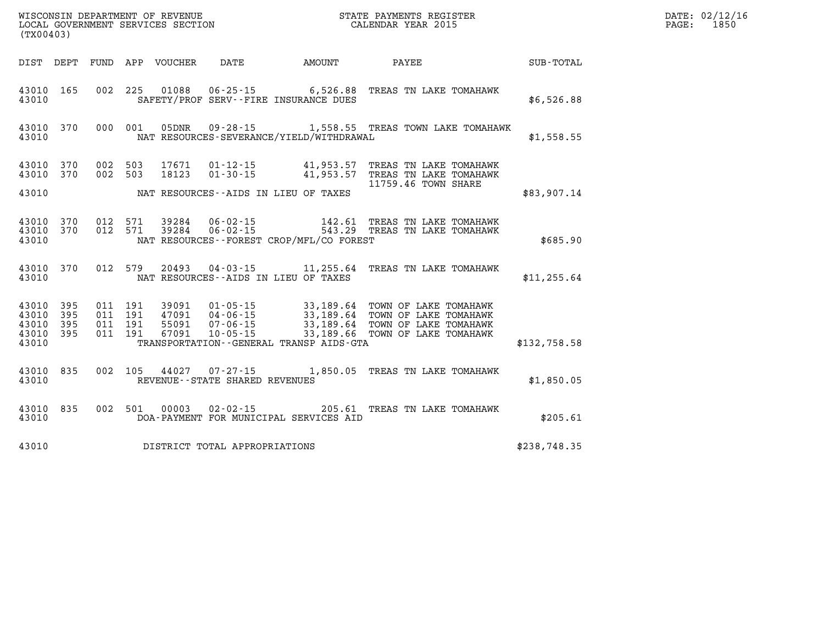| (TX00403)                                             |           |                    |                               | WISCONSIN DEPARTMENT OF REVENUE<br>LOCAL GOVERNMENT SERVICES SECTION |                                   |                                                                  | STATE PAYMENTS REGISTER<br>CALENDAR YEAR 2015                                                                                                                                                        |              | DATE: 02/12/16<br>1850<br>PAGE: |
|-------------------------------------------------------|-----------|--------------------|-------------------------------|----------------------------------------------------------------------|-----------------------------------|------------------------------------------------------------------|------------------------------------------------------------------------------------------------------------------------------------------------------------------------------------------------------|--------------|---------------------------------|
|                                                       |           |                    |                               | DIST DEPT FUND APP VOUCHER                                           | DATE                              | AMOUNT                                                           | PAYEE                                                                                                                                                                                                | SUB-TOTAL    |                                 |
| 43010 165<br>43010                                    |           |                    | 002 225                       | 01088                                                                |                                   | $06 - 25 - 15$ 6,526.88<br>SAFETY/PROF SERV--FIRE INSURANCE DUES | TREAS TN LAKE TOMAHAWK                                                                                                                                                                               | \$6,526.88   |                                 |
| 43010                                                 | 43010 370 |                    |                               | 000 001 05DNR                                                        | $09 - 28 - 15$                    | NAT RESOURCES-SEVERANCE/YIELD/WITHDRAWAL                         | 1,558.55 TREAS TOWN LAKE TOMAHAWK                                                                                                                                                                    | \$1,558.55   |                                 |
| 43010 370<br>43010                                    | 43010 370 | 002 503<br>002 503 |                               | 17671<br>18123                                                       |                                   | NAT RESOURCES--AIDS IN LIEU OF TAXES                             | 01-12-15 41,953.57 TREAS TN LAKE TOMAHAWK<br>01-30-15 41,953.57 TREAS TN LAKE TOMAHAWK<br>11759.46 TOWN SHARE                                                                                        | \$83,907.14  |                                 |
| 43010 370<br>43010                                    | 43010 370 |                    | 012 571<br>012 571            | 39284<br>39284                                                       |                                   | NAT RESOURCES--FOREST CROP/MFL/CO FOREST                         | 06-02-15   142.61 TREAS TN LAKE TOMAHAWK<br>06-02-15   543.29 TREAS TN LAKE TOMAHAWK                                                                                                                 | \$685.90     |                                 |
| 43010                                                 | 43010 370 |                    | 012 579                       | 20493                                                                |                                   | NAT RESOURCES--AIDS IN LIEU OF TAXES                             | 04-03-15 11,255.64 TREAS TN LAKE TOMAHAWK                                                                                                                                                            | \$11, 255.64 |                                 |
| 43010 395<br>43010 395<br>43010<br>43010 395<br>43010 | - 395     | 011 191            | 011 191<br>011 191<br>011 191 | 55091<br>67091                                                       |                                   | TRANSPORTATION--GENERAL TRANSP AIDS-GTA                          | 39091   01-05-15   33,189.64   TOWN OF LAKE TOMAHAWK<br>47091   04-06-15   33,189.64   TOWN OF LAKE TOMAHAWK<br>07-06-15 33,189.64 TOWN OF LAKE TOMAHAWK<br>10-05-15 33,189.66 TOWN OF LAKE TOMAHAWK | \$132,758.58 |                                 |
| 43010 835<br>43010                                    |           |                    | 002 105                       |                                                                      | REVENUE - - STATE SHARED REVENUES |                                                                  | 44027 07-27-15 1,850.05 TREAS TN LAKE TOMAHAWK                                                                                                                                                       | \$1,850.05   |                                 |
| 43010                                                 | 43010 835 |                    |                               | 002 501 00003                                                        |                                   | DOA-PAYMENT FOR MUNICIPAL SERVICES AID                           | 02-02-15 205.61 TREAS TN LAKE TOMAHAWK                                                                                                                                                               | \$205.61     |                                 |
| 43010                                                 |           |                    |                               |                                                                      | DISTRICT TOTAL APPROPRIATIONS     |                                                                  |                                                                                                                                                                                                      | \$238,748.35 |                                 |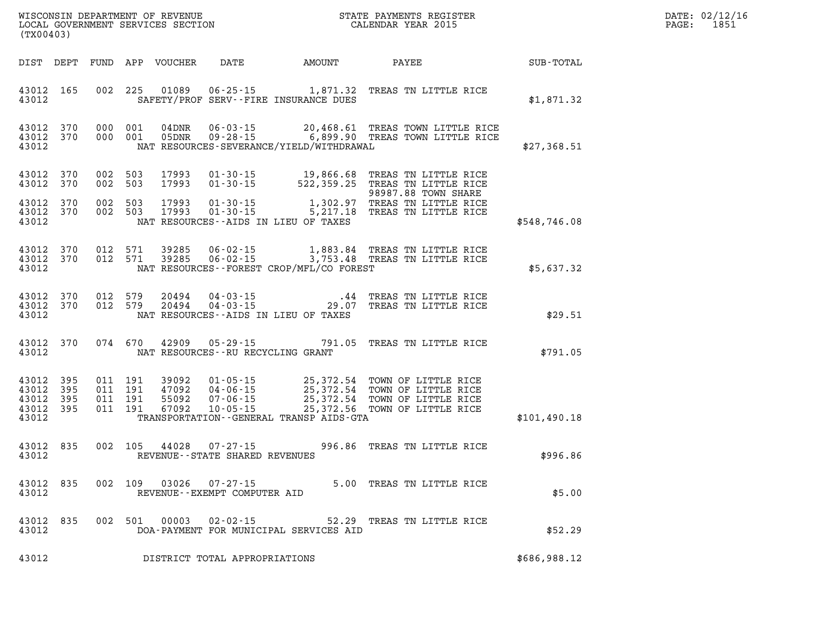| DATE:            | 02/12/16 |
|------------------|----------|
| $\texttt{PAGE:}$ | 1851     |

| (TX00403)              |                                 |         |       |                                                                       |                                                | WISCONSIN DEPARTMENT OF REVENUE<br>LOCAL GOVERNMENT SERVICES SECTION CALENDAR YEAR 2015                                                                                                                                      | $\mathbb{R}^n$ | DATE: 02/12/1<br>$\mathtt{PAGE}$ :<br>1851 |
|------------------------|---------------------------------|---------|-------|-----------------------------------------------------------------------|------------------------------------------------|------------------------------------------------------------------------------------------------------------------------------------------------------------------------------------------------------------------------------|----------------|--------------------------------------------|
|                        |                                 |         |       |                                                                       |                                                | DIST DEPT FUND APP VOUCHER DATE AMOUNT PAYEE SUB-TOTAL                                                                                                                                                                       |                |                                            |
|                        | 43012                           |         |       |                                                                       | SAFETY/PROF SERV--FIRE INSURANCE DUES          | 43012 165 002 225 01089 06-25-15 1,871.32 TREAS TN LITTLE RICE                                                                                                                                                               | \$1,871.32     |                                            |
|                        | 43012                           |         |       |                                                                       | NAT RESOURCES-SEVERANCE/YIELD/WITHDRAWAL       | 43012 370 000 001 04DNR 06-03-15 20,468.61 TREAS TOWN LITTLE RICE<br>43012 370 000 001 05DNR 09-28-15 6,899.90 TREAS TOWN LITTLE RICE                                                                                        | \$27,368.51    |                                            |
| 43012 370<br>43012 370 |                                 |         |       |                                                                       |                                                | 002 503 17993 01-30-15 19,866.68 TREAS TN LITTLE RICE<br>002 503 17993 01-30-15 522,359.25 TREAS TN LITTLE RICE<br>98987.88 TOWN SHARE                                                                                       |                |                                            |
|                        | 43012 370<br>43012 370<br>43012 |         |       |                                                                       | NAT RESOURCES--AIDS IN LIEU OF TAXES           | 9897.88 TOWN SHAKE<br>1,302.97 TREAS TN LITTLE RICE 1,302.97<br>5,217.18 TREAS TN LITTLE RICE 5,217.18 TREAS TN LITTLE RICE                                                                                                  | \$548,746.08   |                                            |
|                        |                                 |         |       |                                                                       | 43012 NAT RESOURCES--FOREST CROP/MFL/CO FOREST | 43012 370 012 571 39285 06-02-15 1,883.84 TREAS TN LITTLE RICE 43012 370 012 571 39285 06-02-15 3,753.48 TREAS TN LITTLE RICE                                                                                                | \$5,637.32     |                                            |
|                        | 43012                           |         |       |                                                                       | NAT RESOURCES--AIDS IN LIEU OF TAXES           | 43012 370 012 579 20494 04-03-15 .44 TREAS TN LITTLE RICE 43012 370 012 579 20494 04-03-15 29.07 TREAS TN LITTLE RICE                                                                                                        | \$29.51        |                                            |
|                        | 43012                           |         |       |                                                                       | NAT RESOURCES -- RU RECYCLING GRANT            | 43012 370 074 670 42909 05-29-15 791.05 TREAS TN LITTLE RICE                                                                                                                                                                 | \$791.05       |                                            |
| 43012 395<br>43012 395 | 43012 395<br>43012 395<br>43012 |         |       |                                                                       | TRANSPORTATION - - GENERAL TRANSP AIDS - GTA   | 011 191 39092 01-05-15 25,372.54 TOWN OF LITTLE RICE<br>011 191 47092 04-06-15 25,372.54 TOWN OF LITTLE RICE<br>011 191 55092 07-06-15 25,372.54 TOWN OF LITTLE RICE<br>011 191 67092 10-05-15 25,372.56 TOWN OF LITTLE RICE | \$101,490.18   |                                            |
| 43012                  |                                 |         |       | 43012 835 002 105 44028 07-27-15<br>REVENUE - - STATE SHARED REVENUES |                                                | 996.86 TREAS TN LITTLE RICE                                                                                                                                                                                                  | \$996.86       |                                            |
| 43012 835<br>43012     |                                 | 002 109 | 03026 | 07-27-15<br>REVENUE--EXEMPT COMPUTER AID                              |                                                | 5.00 TREAS TN LITTLE RICE                                                                                                                                                                                                    | \$5.00         |                                            |
| 43012<br>43012         | 835                             | 002 501 | 00003 | $02 - 02 - 15$                                                        | DOA-PAYMENT FOR MUNICIPAL SERVICES AID         | 52.29 TREAS TN LITTLE RICE                                                                                                                                                                                                   | \$52.29        |                                            |
| 43012                  |                                 |         |       | DISTRICT TOTAL APPROPRIATIONS                                         |                                                |                                                                                                                                                                                                                              | \$686,988.12   |                                            |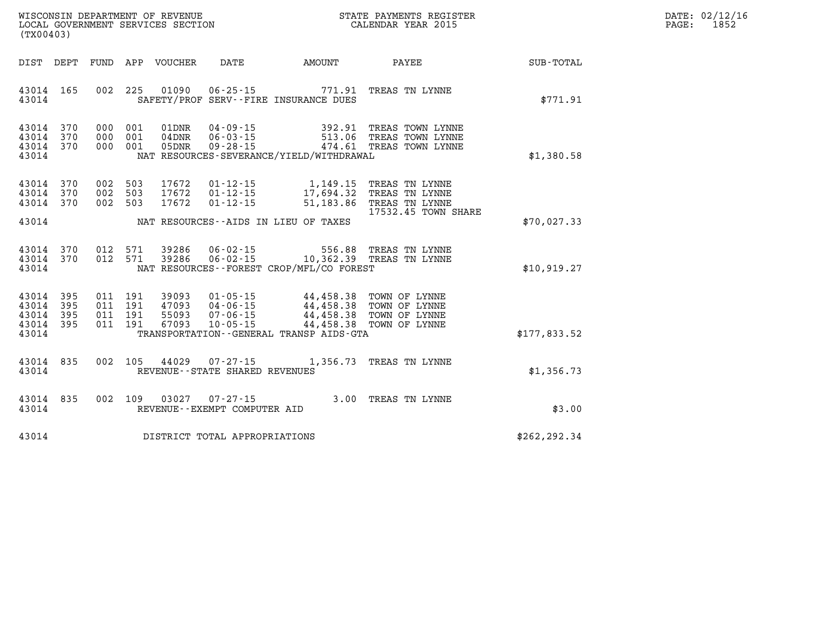| WISCONSIN DEPARTMENT OF REVENUE   | STATE PAYMENTS REGISTER |       | DATE: 02/12/16 |
|-----------------------------------|-------------------------|-------|----------------|
| LOCAL GOVERNMENT SERVICES SECTION | CALENDAR YEAR 2015      | PAGE: | 1852           |

| (TX00403)                                                             |                          |                                                              |                                                                      |                                                                                             |                                                                           |                  |
|-----------------------------------------------------------------------|--------------------------|--------------------------------------------------------------|----------------------------------------------------------------------|---------------------------------------------------------------------------------------------|---------------------------------------------------------------------------|------------------|
| DEPT<br>DIST                                                          | FUND                     | APP<br>VOUCHER                                               | DATE                                                                 | AMOUNT                                                                                      | PAYEE                                                                     | <b>SUB-TOTAL</b> |
| 165<br>43014<br>43014                                                 | 002                      | 225<br>01090                                                 | $06 - 25 - 15$                                                       | 771.91<br>SAFETY/PROF SERV--FIRE INSURANCE DUES                                             | TREAS TN LYNNE                                                            | \$771.91         |
| 370<br>43014<br>43014<br>370<br>370<br>43014<br>43014                 | 000<br>000<br>000        | 001<br>01DNR<br>001<br>04DNR<br>001<br>05DNR                 | $04 - 09 - 15$<br>$06 - 03 - 15$<br>$09 - 28 - 15$                   | 392.91<br>513.06<br>474.61<br>NAT RESOURCES-SEVERANCE/YIELD/WITHDRAWAL                      | TREAS TOWN LYNNE<br>TREAS TOWN LYNNE<br>TREAS TOWN LYNNE                  | \$1,380.58       |
| 370<br>43014<br>370<br>43014<br>43014<br>370                          | 002<br>002<br>002        | 503<br>17672<br>503<br>17672<br>503<br>17672                 | $01 - 12 - 15$<br>$01 - 12 - 15$<br>$01 - 12 - 15$                   | 1,149.15<br>17,694.32<br>51,183.86                                                          | TREAS TN LYNNE<br>TREAS TN LYNNE<br>TREAS TN LYNNE<br>17532.45 TOWN SHARE |                  |
| 43014                                                                 |                          |                                                              |                                                                      | NAT RESOURCES -- AIDS IN LIEU OF TAXES                                                      |                                                                           | \$70,027.33      |
| 370<br>43014<br>370<br>43014<br>43014                                 | 012<br>012               | 571<br>39286<br>571<br>39286                                 | $06 - 02 - 15$<br>$06 - 02 - 15$                                     | 556.88<br>NAT RESOURCES - - FOREST CROP/MFL/CO FOREST                                       | TREAS TN LYNNE<br>10,362.39 TREAS TN LYNNE                                | \$10,919.27      |
| 395<br>43014<br>395<br>43014<br>43014<br>395<br>395<br>43014<br>43014 | 011<br>011<br>011<br>011 | 191<br>39093<br>191<br>47093<br>191<br>55093<br>191<br>67093 | $01 - 05 - 15$<br>$04 - 06 - 15$<br>$07 - 06 - 15$<br>$10 - 05 - 15$ | 44,458.38<br>44,458.38<br>44,458.38<br>44,458.38<br>TRANSPORTATION--GENERAL TRANSP AIDS-GTA | TOWN OF LYNNE<br>TOWN OF LYNNE<br>TOWN OF LYNNE<br>TOWN OF LYNNE          | \$177,833.52     |
| 835<br>43014<br>43014                                                 | 002                      | 105<br>44029                                                 | $07 - 27 - 15$<br>REVENUE - - STATE SHARED REVENUES                  | 1,356.73                                                                                    | TREAS TN LYNNE                                                            | \$1,356.73       |
| 835<br>43014<br>43014                                                 | 002                      | 109<br>03027                                                 | $07 - 27 - 15$<br>REVENUE - - EXEMPT COMPUTER AID                    | 3.00                                                                                        | TREAS TN LYNNE                                                            | \$3.00           |
| 43014                                                                 |                          |                                                              | DISTRICT TOTAL APPROPRIATIONS                                        |                                                                                             |                                                                           | \$262,292.34     |

WISCONSIN DEPARTMENT OF REVENUE **STATE PAYMENTS REGISTER**<br>LOCAL GOVERNMENT SERVICES SECTION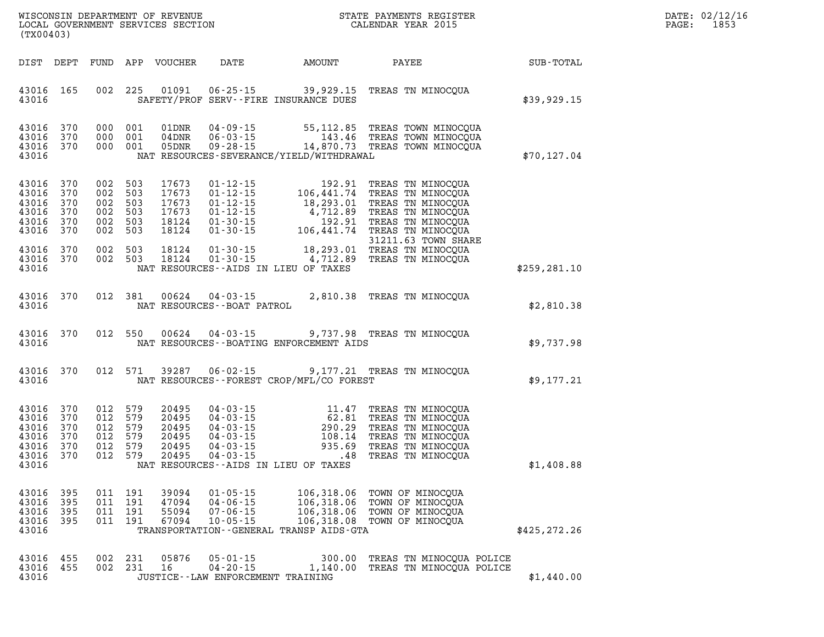| $\mathtt{DATE}$ : | 02/12/16 |
|-------------------|----------|
| PAGE:             | 1853     |

| (TX00403)                                                       |                                        |                                                                |                               |                                                    |                                                                      |                                                                                                 | $\begin{array}{ll}\n\text{LOCAL} & \text{GOVERIMENT} & \text{SERVICES} & \text{SECTION} \\ \hline\n\end{array}$                                                                                                                                                                                                                           |               | PAGE: | 1853 |
|-----------------------------------------------------------------|----------------------------------------|----------------------------------------------------------------|-------------------------------|----------------------------------------------------|----------------------------------------------------------------------|-------------------------------------------------------------------------------------------------|-------------------------------------------------------------------------------------------------------------------------------------------------------------------------------------------------------------------------------------------------------------------------------------------------------------------------------------------|---------------|-------|------|
|                                                                 |                                        |                                                                |                               |                                                    |                                                                      |                                                                                                 | DIST DEPT FUND APP VOUCHER DATE AMOUNT PAYEE TOTAL                                                                                                                                                                                                                                                                                        |               |       |      |
| 43016 165<br>43016                                              |                                        |                                                                |                               |                                                    |                                                                      | SAFETY/PROF SERV--FIRE INSURANCE DUES                                                           | 002 225 01091 06-25-15 39,929.15 TREAS TN MINOCQUA                                                                                                                                                                                                                                                                                        | \$39,929.15   |       |      |
| 43016 370<br>43016<br>43016 370<br>43016                        | 370                                    |                                                                | 000 001<br>000 001<br>000 001 |                                                    |                                                                      | NAT RESOURCES-SEVERANCE/YIELD/WITHDRAWAL                                                        | 01DNR  04-09-15  55,112.85 TREAS TOWN MINOCQUA<br>04DNR  06-03-15  143.46 TREAS TOWN MINOCQUA<br>05DNR  09-28-15  14,870.73 TREAS TOWN MINOCQUA                                                                                                                                                                                           | \$70, 127.04  |       |      |
| 43016<br>43016<br>43016<br>43016<br>43016<br>43016              | 370<br>370<br>370<br>370<br>370<br>370 | 002 503<br>002 503<br>002 503<br>002 503<br>002 503<br>002 503 |                               | 17673<br>17673<br>17673<br>17673<br>18124<br>18124 |                                                                      |                                                                                                 | 31211.63 TOWN SHARE                                                                                                                                                                                                                                                                                                                       |               |       |      |
| 43016 370<br>43016 370<br>43016                                 |                                        | 002 503<br>002 503                                             |                               | 18124<br>18124                                     | $01 - 30 - 15$                                                       | NAT RESOURCES--AIDS IN LIEU OF TAXES                                                            | 01-30-15 18,293.01 TREAS TN MINOCQUA<br>4,712.89 TREAS TN MINOCQUA                                                                                                                                                                                                                                                                        | \$259,281.10  |       |      |
| 43016 370<br>43016                                              |                                        |                                                                | 012 381                       |                                                    | NAT RESOURCES--BOAT PATROL                                           |                                                                                                 | 00624  04-03-15  2,810.38  TREAS TN MINOCQUA                                                                                                                                                                                                                                                                                              | \$2,810.38    |       |      |
| 43016 370<br>43016                                              |                                        |                                                                | 012 550                       |                                                    |                                                                      | NAT RESOURCES--BOATING ENFORCEMENT AIDS                                                         | 00624  04-03-15  9,737.98  TREAS TN MINOCQUA                                                                                                                                                                                                                                                                                              | \$9,737.98    |       |      |
| 43016 370<br>43016                                              |                                        |                                                                | 012 571                       |                                                    |                                                                      | NAT RESOURCES--FOREST CROP/MFL/CO FOREST                                                        | 39287  06-02-15  9,177.21  TREAS TN MINOCQUA                                                                                                                                                                                                                                                                                              | \$9,177.21    |       |      |
| 43016<br>43016<br>43016<br>43016<br>43016<br>43016 370<br>43016 | 370<br>370<br>370<br>370<br>370        | 012 579<br>012 579<br>012 579<br>012 579<br>012 579<br>012 579 |                               | 20495<br>20495<br>20495<br>20495<br>20495<br>20495 |                                                                      | NAT RESOURCES--AIDS IN LIEU OF TAXES                                                            | $\begin{tabular}{lllllllllllll} 04-03-15 & 11.47 & \text{TREAS TN MINOCQUA} \\ 04-03-15 & 62.81 & \text{TREAS TN MINOCQUA} \\ 04-03-15 & 290.29 & \text{TREAS TN MINOCQUA} \\ 04-03-15 & 108.14 & \text{TREAS TN MINOCQUA} \\ 04-03-15 & 935.69 & \text{TREAS TN MINOCQUA} \\ 04-03-15 & .48 & \text{TREAS TN MINOCQUA} \\ \end{tabular}$ | \$1,408.88    |       |      |
| 43016<br>43016<br>43016<br>43016<br>43016                       | 395<br>395<br>395<br>395               | 011<br>011<br>011<br>011                                       | 191<br>191<br>191<br>191      | 39094<br>47094<br>55094<br>67094                   | $01 - 05 - 15$<br>$04 - 06 - 15$<br>$07 - 06 - 15$<br>$10 - 05 - 15$ | 106,318.06<br>106,318.06<br>106,318.06<br>106,318.08<br>TRANSPORTATION--GENERAL TRANSP AIDS-GTA | TOWN OF MINOCOUA<br>TOWN OF MINOCOUA<br>TOWN OF MINOCQUA<br>TOWN OF MINOCQUA                                                                                                                                                                                                                                                              | \$425, 272.26 |       |      |
| 43016<br>43016 455                                              | 455                                    | 002<br>002 231                                                 | 231                           | 05876<br>16                                        | $05 - 01 - 15$<br>$04 - 20 - 15$                                     | 300.00<br>1,140.00                                                                              | TREAS TN MINOCQUA POLICE<br>TREAS TN MINOCQUA POLICE                                                                                                                                                                                                                                                                                      |               |       |      |

WISCONSIN DEPARTMENT OF REVENUE **STATE PAYMENTS REGISTER** 

**43016 JUSTICE--LAW ENFORCEMENT TRAINING \$1,440.00**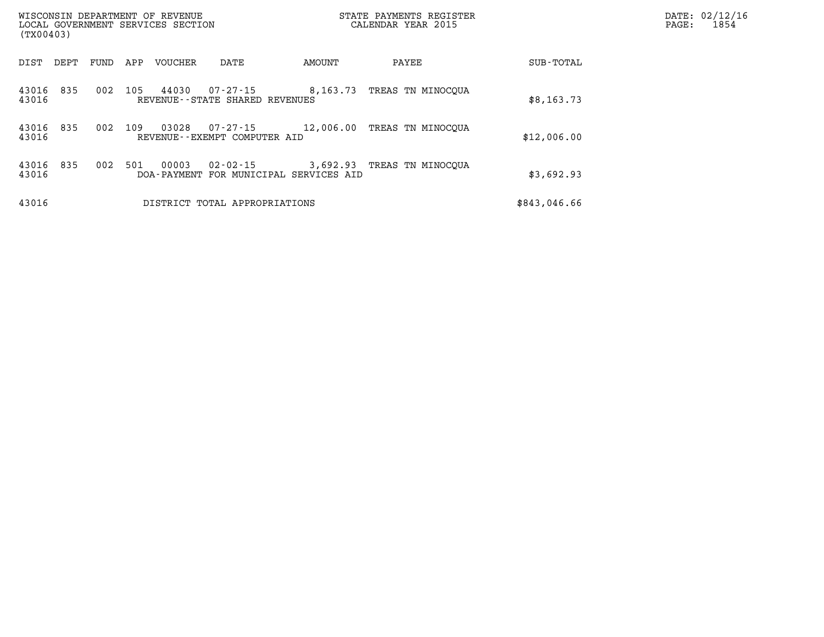| WISCONSIN DEPARTMENT OF REVENUE<br>LOCAL GOVERNMENT SERVICES SECTION<br>(TX00403) |      |      |     |                        |                                                     |           | STATE PAYMENTS REGISTER<br>CALENDAR YEAR 2015 |              | PAGE: | DATE: 02/12/16<br>1854 |
|-----------------------------------------------------------------------------------|------|------|-----|------------------------|-----------------------------------------------------|-----------|-----------------------------------------------|--------------|-------|------------------------|
| DIST                                                                              | DEPT | FUND | APP | VOUCHER                | DATE                                                | AMOUNT    | PAYEE                                         | SUB-TOTAL    |       |                        |
| 43016<br>43016                                                                    | 835  | 002  | 105 | 44030                  | $07 - 27 - 15$<br>REVENUE - - STATE SHARED REVENUES | 8,163.73  | TREAS TN MINOCOUA                             | \$8,163.73   |       |                        |
| 43016<br>43016                                                                    | 835  | 002  | 109 | 03028                  | $07 - 27 - 15$<br>REVENUE--EXEMPT COMPUTER AID      | 12,006.00 | TREAS TN MINOCOUA                             | \$12,006.00  |       |                        |
| 43016<br>43016                                                                    | 835  | 002  | 501 | 00003<br>DOA - PAYMENT | $02 - 02 - 15$<br>FOR MUNICIPAL SERVICES AID        | 3,692.93  | TREAS TN MINOCOUA                             | \$3,692.93   |       |                        |
| 43016                                                                             |      |      |     |                        | DISTRICT TOTAL APPROPRIATIONS                       |           |                                               | \$843,046.66 |       |                        |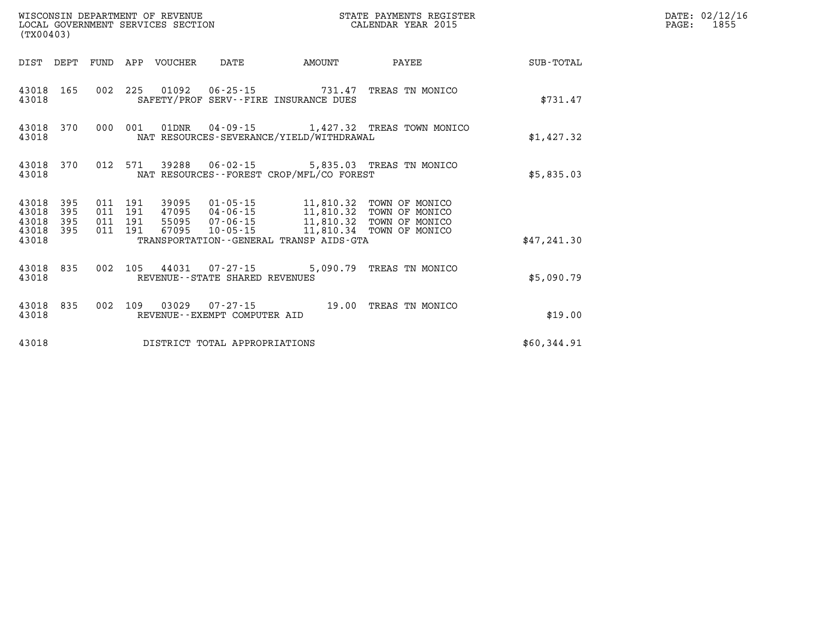|                                  | WISCONSIN DEPARTMENT OF REVENUE<br>LOCAL GOVERNMENT SERVICES SECTION<br>(TX00403) |  |         |                  |                                                             |                                             | STATE PAYMENTS REGISTER<br>CALENDAR YEAR 2015                                                                                                                                                                                                                                                                                                           |             | DATE: 02/12/16<br>1855<br>$\mathtt{PAGE}$ : |
|----------------------------------|-----------------------------------------------------------------------------------|--|---------|------------------|-------------------------------------------------------------|---------------------------------------------|---------------------------------------------------------------------------------------------------------------------------------------------------------------------------------------------------------------------------------------------------------------------------------------------------------------------------------------------------------|-------------|---------------------------------------------|
| DIST DEPT                        |                                                                                   |  |         | FUND APP VOUCHER | DATE                                                        | AMOUNT                                      | PAYEE                                                                                                                                                                                                                                                                                                                                                   | SUB-TOTAL   |                                             |
| 43018 165<br>43018               |                                                                                   |  |         |                  |                                                             | SAFETY/PROF SERV--FIRE INSURANCE DUES       | 002 225 01092 06-25-15 731.47 TREAS TN MONICO                                                                                                                                                                                                                                                                                                           | \$731.47    |                                             |
| 43018                            | 43018 370                                                                         |  | 000 001 |                  |                                                             | NAT RESOURCES-SEVERANCE/YIELD/WITHDRAWAL    | 01DNR  04-09-15  1,427.32 TREAS TOWN MONICO                                                                                                                                                                                                                                                                                                             | \$1,427.32  |                                             |
| 43018 370<br>43018               |                                                                                   |  |         |                  |                                                             | NAT RESOURCES - - FOREST CROP/MFL/CO FOREST | 012 571 39288 06-02-15 5,835.03 TREAS TN MONICO                                                                                                                                                                                                                                                                                                         | \$5,835.03  |                                             |
| 43018<br>43018<br>43018<br>43018 | 395<br>395<br>395<br>395                                                          |  |         |                  |                                                             |                                             | $\begin{tabular}{cccccc} 011 & 191 & 39095 & 01\text{-}05\text{-}15 & 11,810.32 & \text{TOWN OF MONICO} \\ 011 & 191 & 47095 & 04\text{-}06\text{-}15 & 11,810.32 & \text{TOWN OF MONICO} \\ 011 & 191 & 55095 & 07\text{-}06\text{-}15 & 11,810.32 & \text{TOWN OF MONICO} \\ 011 & 191 & 67095 & 10\text{-}05\text{-}15 & \text{---} & 11,810.34 & \$ |             |                                             |
| 43018                            |                                                                                   |  |         |                  |                                                             | TRANSPORTATION--GENERAL TRANSP AIDS-GTA     |                                                                                                                                                                                                                                                                                                                                                         | \$47,241.30 |                                             |
| 43018 835<br>43018               |                                                                                   |  |         |                  | 002 105 44031 07-27-15<br>REVENUE - - STATE SHARED REVENUES |                                             | 5,090.79 TREAS TN MONICO                                                                                                                                                                                                                                                                                                                                | \$5,090.79  |                                             |
| 43018                            | 43018 835                                                                         |  |         |                  | REVENUE--EXEMPT COMPUTER AID                                |                                             | 002 109 03029 07-27-15 19.00 TREAS TN MONICO                                                                                                                                                                                                                                                                                                            | \$19.00     |                                             |
| 43018                            |                                                                                   |  |         |                  | DISTRICT TOTAL APPROPRIATIONS                               |                                             |                                                                                                                                                                                                                                                                                                                                                         | \$60,344.91 |                                             |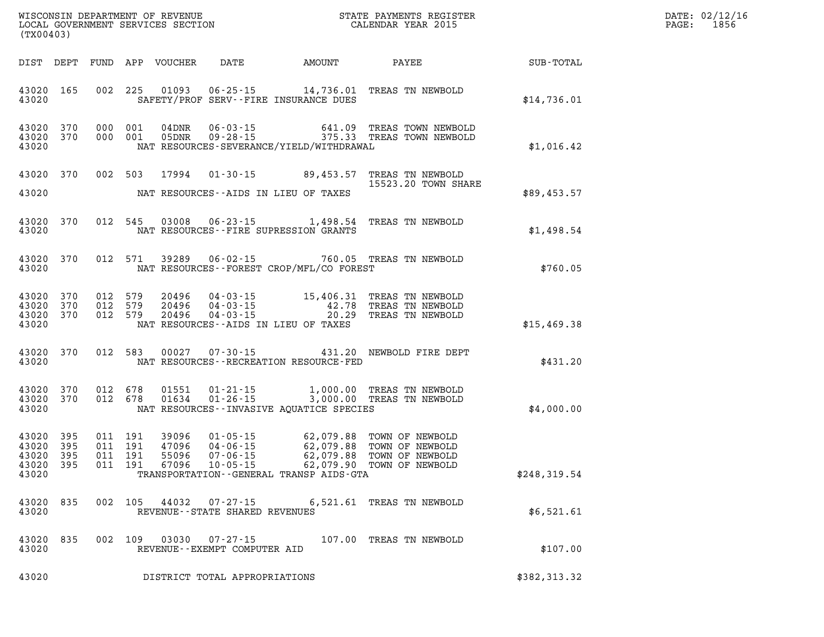| %WISCONSIN DEPARTMENT OF REVENUE $$\tt STATE$ PAYMENTS REGISTER LOCAL GOVERNMENT SERVICES SECTION $$\tt CALENDAR$ YEAR 2015<br>(TX00403) |                        |                    |                                          |                                  |                                   |                                              |                                                                                                                                                      |              | DATE: 02/12/16<br>PAGE: 1856 |
|------------------------------------------------------------------------------------------------------------------------------------------|------------------------|--------------------|------------------------------------------|----------------------------------|-----------------------------------|----------------------------------------------|------------------------------------------------------------------------------------------------------------------------------------------------------|--------------|------------------------------|
|                                                                                                                                          |                        |                    |                                          |                                  |                                   | DIST DEPT FUND APP VOUCHER DATE AMOUNT PAYEE |                                                                                                                                                      | SUB-TOTAL    |                              |
| 43020                                                                                                                                    | 43020 165              |                    |                                          |                                  |                                   | SAFETY/PROF SERV--FIRE INSURANCE DUES        | 002 225 01093 06-25-15 14,736.01 TREAS TN NEWBOLD                                                                                                    | \$14,736.01  |                              |
| 43020 370<br>43020                                                                                                                       | 43020 370              |                    | 000 001<br>000 001                       | 04DNR<br>05DNR                   |                                   | NAT RESOURCES-SEVERANCE/YIELD/WITHDRAWAL     |                                                                                                                                                      | \$1,016.42   |                              |
|                                                                                                                                          | 43020 370              |                    |                                          |                                  |                                   |                                              | 002 503 17994 01-30-15 89,453.57 TREAS TN NEWBOLD<br>15523.20 TOWN SHARE                                                                             |              |                              |
| 43020                                                                                                                                    |                        |                    |                                          |                                  |                                   | NAT RESOURCES--AIDS IN LIEU OF TAXES         |                                                                                                                                                      | \$89,453.57  |                              |
| 43020                                                                                                                                    | 43020 370              |                    |                                          |                                  |                                   | NAT RESOURCES -- FIRE SUPRESSION GRANTS      | 012 545 03008 06-23-15 1,498.54 TREAS TN NEWBOLD                                                                                                     | \$1,498.54   |                              |
| 43020                                                                                                                                    | 43020 370              |                    | 012 571                                  |                                  |                                   | NAT RESOURCES - - FOREST CROP/MFL/CO FOREST  | 39289  06-02-15  760.05  TREAS TN NEWBOLD                                                                                                            | \$760.05     |                              |
| 43020 370<br>43020                                                                                                                       | 43020 370<br>43020 370 | 012 579<br>012 579 | 012 579                                  |                                  |                                   | NAT RESOURCES--AIDS IN LIEU OF TAXES         | 20496  04-03-15  15,406.31 TREAS TN NEWBOLD<br>20496  04-03-15  42.78 TREAS TN NEWBOLD<br>20496  04-03-15  20.29 TREAS TN NEWBOLD                    | \$15,469.38  |                              |
| 43020                                                                                                                                    | 43020 370              |                    |                                          |                                  |                                   | NAT RESOURCES--RECREATION RESOURCE-FED       | 012 583 00027 07-30-15 431.20 NEWBOLD FIRE DEPT                                                                                                      | \$431.20     |                              |
| 43020 370<br>43020                                                                                                                       | 43020 370              |                    | 012 678<br>012 678                       | 01551<br>01634                   |                                   | NAT RESOURCES - INVASIVE AQUATICE SPECIES    |                                                                                                                                                      | \$4,000.00   |                              |
| 43020 395<br>43020<br>43020<br>43020 395<br>43020                                                                                        | 395<br>395             |                    | 011 191<br>011 191<br>011 191<br>011 191 | 39096<br>47096<br>55096<br>67096 |                                   | TRANSPORTATION - - GENERAL TRANSP AIDS - GTA | 01-05-15 62,079.88 TOWN OF NEWBOLD<br>04-06-15 62,079.88 TOWN OF NEWBOLD<br>07-06-15 62,079.88 TOWN OF NEWBOLD<br>10-05-15 62,079.90 TOWN OF NEWBOLD | \$248,319.54 |                              |
| 43020                                                                                                                                    | 43020 835              |                    |                                          |                                  | REVENUE - - STATE SHARED REVENUES |                                              | 002 105 44032 07-27-15 6,521.61 TREAS TN NEWBOLD                                                                                                     | \$6,521.61   |                              |
| 43020                                                                                                                                    | 43020 835              |                    |                                          |                                  | REVENUE--EXEMPT COMPUTER AID      |                                              | 002 109 03030 07-27-15 107.00 TREAS TN NEWBOLD                                                                                                       | \$107.00     |                              |
| 43020                                                                                                                                    |                        |                    |                                          |                                  | DISTRICT TOTAL APPROPRIATIONS     |                                              |                                                                                                                                                      | \$382,313.32 |                              |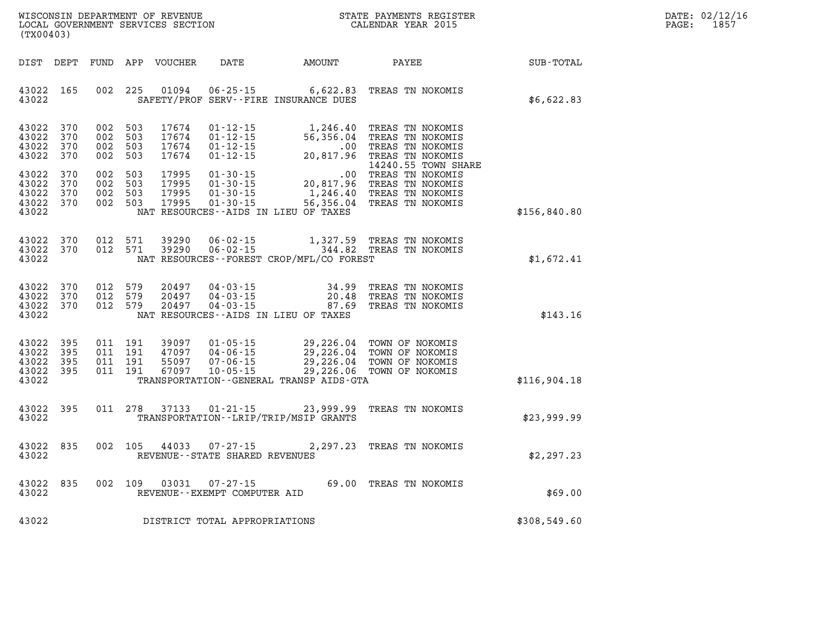| (TX00403)                                                             | WISCONSIN DEPARTMENT OF REVENUE<br>LOCAL GOVERNMENT SERVICES SECTION                     |                                                                                                                 |                                                  | STATE PAYMENTS REGISTER<br>CALENDAR YEAR 2015                                                       |              |
|-----------------------------------------------------------------------|------------------------------------------------------------------------------------------|-----------------------------------------------------------------------------------------------------------------|--------------------------------------------------|-----------------------------------------------------------------------------------------------------|--------------|
| DIST<br>DEPT                                                          | FUND<br>APP<br>VOUCHER                                                                   | DATE                                                                                                            | AMOUNT                                           | PAYEE                                                                                               | SUB-TOTAL    |
| 43022<br>165<br>43022                                                 | 225<br>002<br>01094                                                                      | $06 - 25 - 15$<br>SAFETY/PROF SERV--FIRE INSURANCE DUES                                                         | 6,622.83                                         | TREAS TN NOKOMIS                                                                                    | \$6,622.83   |
| 370<br>43022<br>370<br>43022<br>43022<br>370<br>43022<br>370          | 002<br>503<br>17674<br>503<br>17674<br>002<br>002<br>503<br>17674<br>002<br>503<br>17674 | $01 - 12 - 15$<br>$01 - 12 - 15$<br>$01 - 12 - 15$<br>$01 - 12 - 15$                                            | 1,246.40<br>56,356.04<br>.00<br>20,817.96        | TREAS TN NOKOMIS<br>TREAS TN NOKOMIS<br>TREAS TN NOKOMIS<br>TREAS TN NOKOMIS<br>14240.55 TOWN SHARE |              |
| 43022<br>370<br>43022<br>370<br>43022<br>370<br>43022<br>370<br>43022 | 002<br>503<br>17995<br>002<br>503<br>17995<br>002<br>503<br>17995<br>002<br>503<br>17995 | $01 - 30 - 15$<br>$01 - 30 - 15$<br>$01 - 30 - 15$<br>$01 - 30 - 15$<br>NAT RESOURCES--AIDS IN LIEU OF TAXES    | $.00\,$<br>20,817.96<br>1,246.40<br>56,356.04    | TREAS TN NOKOMIS<br>TREAS TN NOKOMIS<br>TREAS TN NOKOMIS<br>TREAS TN NOKOMIS                        | \$156,840.80 |
| 370<br>43022<br>43022<br>370<br>43022                                 | 012<br>571<br>39290<br>012<br>571<br>39290                                               | $06 - 02 - 15$<br>$06 - 02 - 15$<br>NAT RESOURCES - - FOREST CROP/MFL/CO FOREST                                 | 1,327.59<br>344.82                               | TREAS TN NOKOMIS<br>TREAS TN NOKOMIS                                                                | \$1,672.41   |
| 43022<br>370<br>43022<br>370<br>43022<br>370<br>43022                 | 012<br>579<br>20497<br>012<br>579<br>20497<br>012<br>579<br>20497                        | $04 - 03 - 15$<br>$04 - 03 - 15$<br>$04 - 03 - 15$<br>NAT RESOURCES -- AIDS IN LIEU OF TAXES                    | 34.99<br>20.48<br>87.69                          | TREAS TN NOKOMIS<br>TREAS TN NOKOMIS<br>TREAS TN NOKOMIS                                            | \$143.16     |
| 43022<br>395<br>43022<br>395<br>43022<br>395<br>43022<br>395<br>43022 | 011<br>191<br>39097<br>011<br>191<br>47097<br>011<br>191<br>55097<br>011<br>191<br>67097 | $01 - 05 - 15$<br>$04 - 06 - 15$<br>$07 - 06 - 15$<br>$10 - 05 - 15$<br>TRANSPORTATION--GENERAL TRANSP AIDS-GTA | 29,226.04<br>29,226.04<br>29,226.04<br>29,226.06 | TOWN OF NOKOMIS<br>TOWN OF NOKOMIS<br>TOWN OF NOKOMIS<br>TOWN OF NOKOMIS                            | \$116,904.18 |
| 43022<br>395<br>43022                                                 | 278<br>011<br>37133                                                                      | $01 - 21 - 15$<br>TRANSPORTATION - - LRIP/TRIP/MSIP GRANTS                                                      | 23,999.99                                        | TREAS TN NOKOMIS                                                                                    | \$23,999.99  |
| 43022<br>835<br>43022                                                 | 002<br>105<br>44033                                                                      | $07 - 27 - 15$<br>REVENUE - - STATE SHARED REVENUES                                                             | 2,297.23                                         | TREAS TN NOKOMIS                                                                                    | \$2,297.23   |
| 43022<br>835<br>43022                                                 | 002<br>109<br>03031                                                                      | $07 - 27 - 15$<br>REVENUE - - EXEMPT COMPUTER AID                                                               |                                                  | 69.00 TREAS TN NOKOMIS                                                                              | \$69.00      |

**43022 DISTRICT TOTAL APPROPRIATIONS \$308,549.60**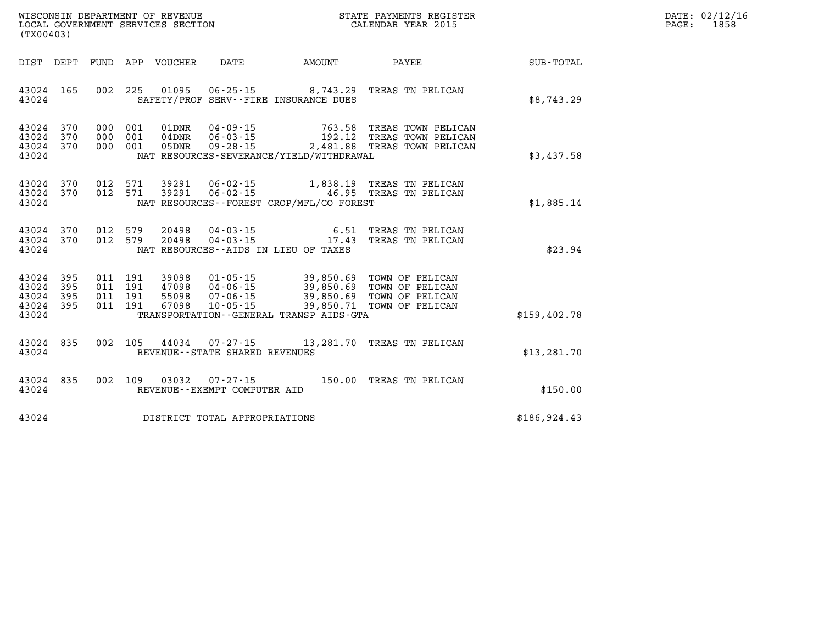| WISCONSIN DEPARTMENT OF REVENUE   | STATE PAYMENTS REGISTER | 02/12/16<br>DATE: |
|-----------------------------------|-------------------------|-------------------|
| LOCAL GOVERNMENT SERVICES SECTION | CALENDAR YEAR 2015      | 1858<br>PAGE:     |

| (TX00403)                                                             |                          |                                                                                                                                                                                                                                                                                                        |                  |
|-----------------------------------------------------------------------|--------------------------|--------------------------------------------------------------------------------------------------------------------------------------------------------------------------------------------------------------------------------------------------------------------------------------------------------|------------------|
| DIST<br>DEPT                                                          | FUND                     | APP<br>VOUCHER<br>DATE<br><b>AMOUNT</b><br>PAYEE                                                                                                                                                                                                                                                       | <b>SUB-TOTAL</b> |
| 43024<br>165<br>43024                                                 | 002                      | 225<br>01095  06-25-15  8,743.29<br>TREAS TN PELICAN<br>SAFETY/PROF SERV--FIRE INSURANCE DUES                                                                                                                                                                                                          | \$8,743.29       |
| 43024<br>370<br>370<br>43024<br>43024<br>370<br>43024                 | 000<br>000<br>000        | 001<br>$04 - 09 - 15$<br>763.58<br>TREAS TOWN PELICAN<br>01DNR<br>001<br>$06 - 03 - 15$<br>192.12<br>$04$ DNR<br>TREAS TOWN PELICAN<br>001<br>$09 - 28 - 15$<br>2,481.88<br>TREAS TOWN PELICAN<br>05DNR<br>NAT RESOURCES-SEVERANCE/YIELD/WITHDRAWAL                                                    | \$3,437.58       |
| 43024<br>370<br>43024<br>370<br>43024                                 | 012<br>012               | 571<br>39291<br>06-02-15 1,838.19 TREAS TN PELICAN<br>571<br>39291<br>$06 - 02 - 15$ 46.95<br>TREAS TN PELICAN<br>NAT RESOURCES - - FOREST CROP/MFL/CO FOREST                                                                                                                                          | \$1,885.14       |
| 43024<br>370<br>370<br>43024<br>43024                                 | 012<br>012               | 579<br>$04 - 03 - 15$<br>20498<br>6.51<br>TREAS TN PELICAN<br>17.43<br>579<br>$04 - 03 - 15$<br>20498<br>TREAS TN PELICAN<br>NAT RESOURCES -- AIDS IN LIEU OF TAXES                                                                                                                                    | \$23.94          |
| 43024<br>395<br>43024<br>395<br>43024<br>395<br>43024<br>395<br>43024 | 011<br>011<br>011<br>011 | 39,850.69 TOWN OF PELICAN<br>191<br>39098<br>$01 - 05 - 15$<br>191<br>39,850.69<br>47098<br>04-06-15<br>TOWN OF PELICAN<br>191<br>55098<br>$07 - 06 - 15$<br>39,850.69<br>TOWN OF PELICAN<br>191<br>67098<br>$10 - 05 - 15$<br>39,850.71<br>TOWN OF PELICAN<br>TRANSPORTATION--GENERAL TRANSP AIDS-GTA | \$159,402.78     |
| 43024<br>835<br>43024                                                 | 002                      | 105<br>44034<br>07-27-15<br>13,281.70<br>TREAS TN PELICAN<br>REVENUE - - STATE SHARED REVENUES                                                                                                                                                                                                         | \$13, 281.70     |
| 835<br>43024<br>43024                                                 | 002                      | 109<br>03032<br>$07 - 27 - 15$<br>150.00<br>TREAS TN PELICAN<br>REVENUE - - EXEMPT COMPUTER AID                                                                                                                                                                                                        | \$150.00         |
| 43024                                                                 |                          | DISTRICT TOTAL APPROPRIATIONS                                                                                                                                                                                                                                                                          | \$186,924.43     |

WISCONSIN DEPARTMENT OF REVENUE **STATE PAYMENTS REGISTER**<br>LOCAL GOVERNMENT SERVICES SECTION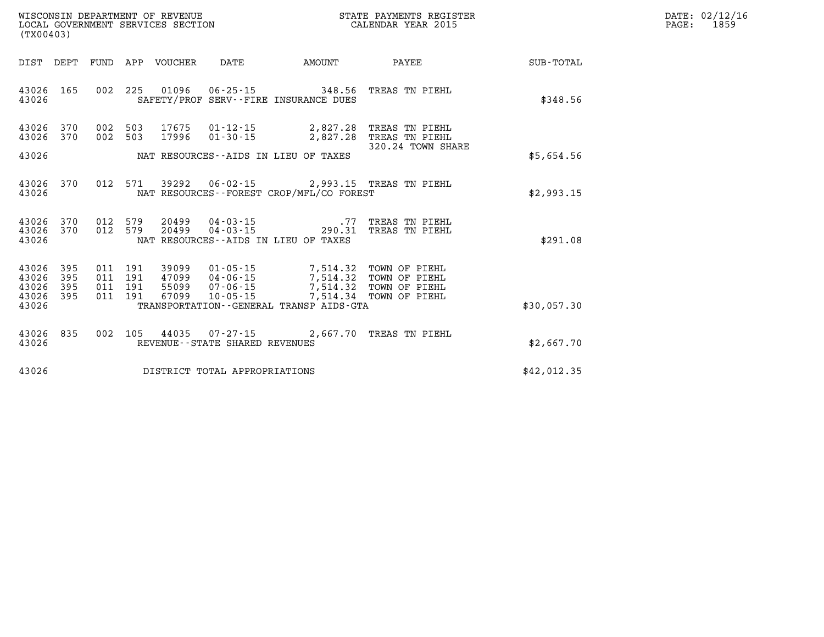| $\texttt{DATE}$ : | 02/12/16 |
|-------------------|----------|
| PAGE:             | 1859     |

| (TX00403)                                 |                          |                          |                          | WISCONSIN DEPARTMENT OF REVENUE<br>LOCAL GOVERNMENT SERVICES SECTION |                                                                      |                                                                                         | STATE PAYMENTS REGISTER<br>CALENDAR YEAR 2015                    |             |
|-------------------------------------------|--------------------------|--------------------------|--------------------------|----------------------------------------------------------------------|----------------------------------------------------------------------|-----------------------------------------------------------------------------------------|------------------------------------------------------------------|-------------|
| DIST                                      | DEPT                     | FUND                     | APP                      | VOUCHER                                                              | DATE                                                                 | AMOUNT                                                                                  | PAYEE                                                            | SUB-TOTAL   |
| 43026<br>43026                            | 165                      | 002                      | 225                      | 01096                                                                | $06 - 25 - 15$                                                       | 348.56<br>SAFETY/PROF SERV--FIRE INSURANCE DUES                                         | TREAS TN PIEHL                                                   | \$348.56    |
| 43026<br>43026                            | 370<br>370               | 002<br>002               | 503<br>503               | 17675<br>17996                                                       | $01 - 12 - 15$<br>$01 - 30 - 15$                                     | 2,827.28<br>2,827.28                                                                    | TREAS TN PIEHL<br>TREAS TN PIEHL                                 |             |
| 43026                                     |                          |                          |                          |                                                                      |                                                                      | NAT RESOURCES -- AIDS IN LIEU OF TAXES                                                  | 320.24 TOWN SHARE                                                | \$5,654.56  |
| 43026<br>43026                            | 370                      | 012                      | 571                      | 39292                                                                | $06 - 02 - 15$                                                       | NAT RESOURCES - - FOREST CROP/MFL/CO FOREST                                             | 2,993.15 TREAS TN PIEHL                                          | \$2,993.15  |
| 43026<br>43026<br>43026                   | 370<br>370               | 012<br>012               | 579<br>579               | 20499<br>20499                                                       | 04-03-15<br>$04 - 03 - 15$                                           | . 77<br>290.31<br>NAT RESOURCES -- AIDS IN LIEU OF TAXES                                | TREAS TN PIEHL<br>TREAS TN PIEHL                                 | \$291.08    |
| 43026<br>43026<br>43026<br>43026<br>43026 | 395<br>395<br>395<br>395 | 011<br>011<br>011<br>011 | 191<br>191<br>191<br>191 | 39099<br>47099<br>55099<br>67099                                     | $01 - 05 - 15$<br>$04 - 06 - 15$<br>$07 - 06 - 15$<br>$10 - 05 - 15$ | 7,514.32<br>7,514.32<br>7,514.32<br>7,514.34<br>TRANSPORTATION--GENERAL TRANSP AIDS-GTA | TOWN OF PIEHL<br>TOWN OF PIEHL<br>TOWN OF PIEHL<br>TOWN OF PIEHL | \$30,057.30 |
|                                           |                          |                          |                          |                                                                      |                                                                      |                                                                                         |                                                                  |             |
| 43026<br>43026                            | 835                      | 002                      | 105                      | 44035                                                                | 07-27-15<br>REVENUE--STATE SHARED REVENUES                           | 2,667.70                                                                                | TREAS TN PIEHL                                                   | \$2,667.70  |
| 43026                                     |                          |                          |                          |                                                                      | DISTRICT TOTAL APPROPRIATIONS                                        |                                                                                         |                                                                  | \$42,012.35 |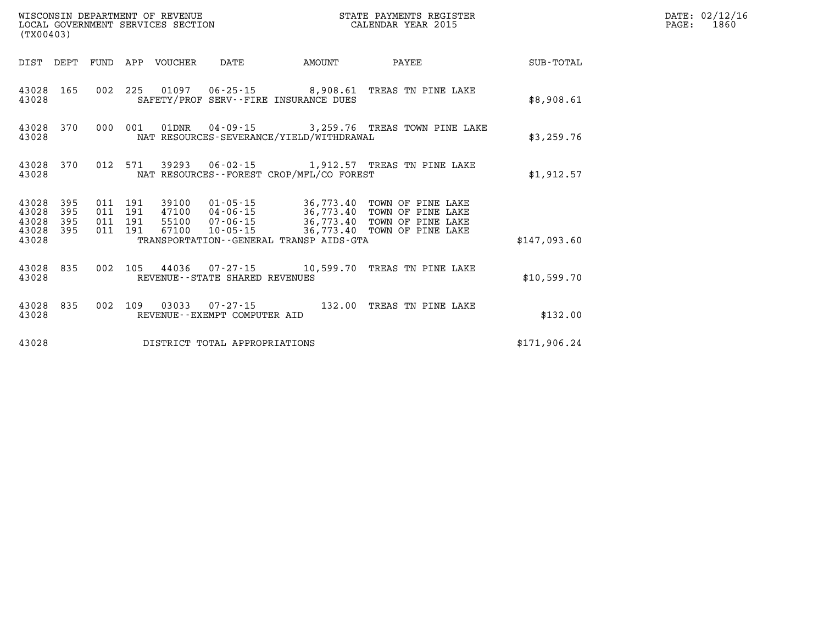|                                      | (TX00403)         |  |         |                                 |                                |                                            | STATE PAYMENTS REGISTER                                                                                                                                                                                              |              | DATE: 02/12/16<br>PAGE: 1860 |
|--------------------------------------|-------------------|--|---------|---------------------------------|--------------------------------|--------------------------------------------|----------------------------------------------------------------------------------------------------------------------------------------------------------------------------------------------------------------------|--------------|------------------------------|
|                                      |                   |  |         | DIST DEPT FUND APP VOUCHER DATE |                                | AMOUNT                                     | PAYEE                                                                                                                                                                                                                | SUB-TOTAL    |                              |
| 43028 165<br>43028                   |                   |  |         |                                 |                                | SAFETY/PROF SERV--FIRE INSURANCE DUES      | 002 225 01097 06-25-15 8,908.61 TREAS TN PINE LAKE                                                                                                                                                                   | \$8,908.61   |                              |
| 43028                                | 43028 370         |  | 000 001 |                                 |                                | NAT RESOURCES-SEVERANCE/YIELD/WITHDRAWAL   | 01DNR  04-09-15  3,259.76 TREAS TOWN PINE LAKE                                                                                                                                                                       | \$3,259.76   |                              |
| 43028                                | 43028 370         |  |         |                                 |                                | NAT RESOURCES -- FOREST CROP/MFL/CO FOREST | 012 571 39293 06-02-15 1,912.57 TREAS TN PINE LAKE                                                                                                                                                                   | \$1,912.57   |                              |
| 43028<br>43028<br>43028<br>43028 395 | 395<br>395<br>395 |  |         |                                 |                                |                                            | 011 191 39100 01-05-15 36,773.40 TOWN OF PINE LAKE<br>011 191 47100 04-06-15 36,773.40 TOWN OF PINE LAKE<br>011 191 55100 07-06-15 36,773.40 TOWN OF PINE LAKE<br>011 191 67100 10-05-15 36,773.40 TOWN OF PINE LAKE |              |                              |
| 43028                                |                   |  |         |                                 |                                | TRANSPORTATION--GENERAL TRANSP AIDS-GTA    |                                                                                                                                                                                                                      | \$147,093.60 |                              |
| 43028                                |                   |  |         |                                 | REVENUE--STATE SHARED REVENUES |                                            | 43028 835 002 105 44036 07-27-15 10,599.70 TREAS TN PINE LAKE                                                                                                                                                        | \$10,599.70  |                              |
| 43028                                | 43028 835         |  |         |                                 | REVENUE--EXEMPT COMPUTER AID   |                                            | 002 109 03033 07-27-15 132.00 TREAS TN PINE LAKE                                                                                                                                                                     | \$132.00     |                              |
| 43028                                |                   |  |         |                                 | DISTRICT TOTAL APPROPRIATIONS  |                                            |                                                                                                                                                                                                                      | \$171,906.24 |                              |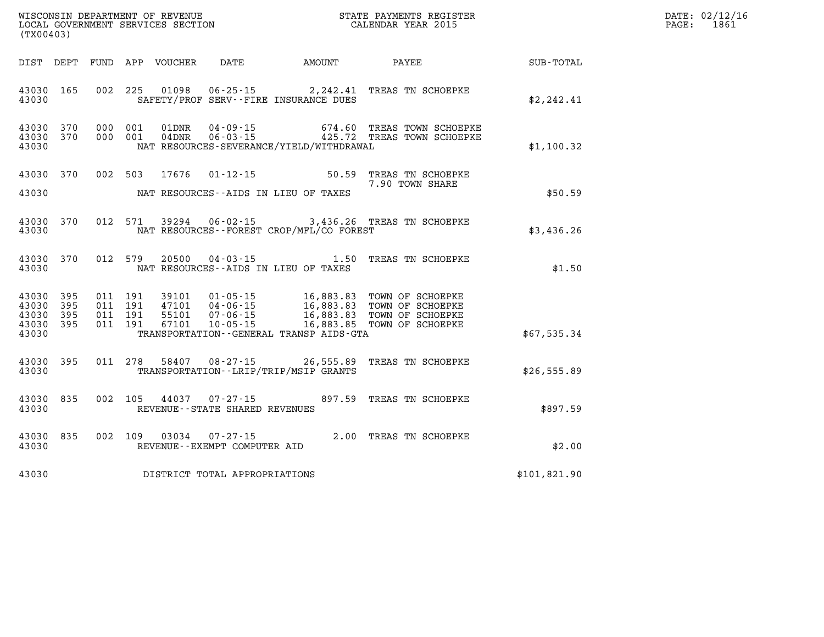| DATE: | 02/12/16 |
|-------|----------|
| PAGE: | 1861     |

| (TX00403)                                 |                          |                          |                          | WISCONSIN DEPARTMENT OF REVENUE<br>LOCAL GOVERNMENT SERVICES SECTION |                                                                      |                                                                                                  | STATE PAYMENTS REGISTER<br>CALENDAR YEAR 2015                                |              |
|-------------------------------------------|--------------------------|--------------------------|--------------------------|----------------------------------------------------------------------|----------------------------------------------------------------------|--------------------------------------------------------------------------------------------------|------------------------------------------------------------------------------|--------------|
| DIST                                      | DEPT                     | FUND                     | APP                      | VOUCHER                                                              | DATE                                                                 | AMOUNT                                                                                           | PAYEE                                                                        | SUB-TOTAL    |
| 43030<br>43030                            | 165                      | 002                      | 225                      | 01098                                                                | $06 - 25 - 15$                                                       | 2,242.41<br>SAFETY/PROF SERV--FIRE INSURANCE DUES                                                | TREAS TN SCHOEPKE                                                            | \$2, 242.41  |
| 43030<br>43030<br>43030                   | 370<br>370               | 000<br>000               | 001<br>001               | 01DNR<br>04DNR                                                       | $04 - 09 - 15$<br>$06 - 03 - 15$                                     | 674.60<br>425.72<br>NAT RESOURCES-SEVERANCE/YIELD/WITHDRAWAL                                     | TREAS TOWN SCHOEPKE<br>TREAS TOWN SCHOEPKE                                   | \$1,100.32   |
| 43030<br>43030                            | 370                      | 002                      | 503                      | 17676                                                                | $01 - 12 - 15$                                                       | 50.59<br>NAT RESOURCES--AIDS IN LIEU OF TAXES                                                    | TREAS TN SCHOEPKE<br>7.90 TOWN SHARE                                         | \$50.59      |
| 43030<br>43030                            | 370                      | 012                      | 571                      | 39294                                                                | $06 - 02 - 15$                                                       | 3,436.26<br>NAT RESOURCES - - FOREST CROP/MFL/CO FOREST                                          | TREAS TN SCHOEPKE                                                            | \$3,436.26   |
| 43030<br>43030                            | 370                      | 012                      | 579                      | 20500                                                                | $04 - 03 - 15$                                                       | 1.50<br>NAT RESOURCES -- AIDS IN LIEU OF TAXES                                                   | TREAS TN SCHOEPKE                                                            | \$1.50       |
| 43030<br>43030<br>43030<br>43030<br>43030 | 395<br>395<br>395<br>395 | 011<br>011<br>011<br>011 | 191<br>191<br>191<br>191 | 39101<br>47101<br>55101<br>67101                                     | $01 - 05 - 15$<br>$04 - 06 - 15$<br>$07 - 06 - 15$<br>$10 - 05 - 15$ | 16,883.83<br>16,883.83<br>16,883.83<br>16,883.85<br>TRANSPORTATION - - GENERAL TRANSP AIDS - GTA | TOWN OF SCHOEPKE<br>TOWN OF SCHOEPKE<br>TOWN OF SCHOEPKE<br>TOWN OF SCHOEPKE | \$67,535.34  |
| 43030<br>43030                            | 395                      | 011                      | 278                      | 58407                                                                | $08 - 27 - 15$                                                       | 26,555.89<br>TRANSPORTATION - - LRIP/TRIP/MSIP GRANTS                                            | TREAS TN SCHOEPKE                                                            | \$26,555.89  |
| 43030<br>43030                            | 835                      | 002                      | 105                      | 44037                                                                | $07 - 27 - 15$<br>REVENUE - - STATE SHARED REVENUES                  | 897.59                                                                                           | TREAS TN SCHOEPKE                                                            | \$897.59     |
| 43030<br>43030                            | 835                      | 002                      | 109                      | 03034                                                                | $07 - 27 - 15$<br>REVENUE--EXEMPT COMPUTER AID                       | 2.00                                                                                             | TREAS TN SCHOEPKE                                                            | \$2.00       |
| 43030                                     |                          |                          |                          |                                                                      | DISTRICT TOTAL APPROPRIATIONS                                        |                                                                                                  |                                                                              | \$101,821.90 |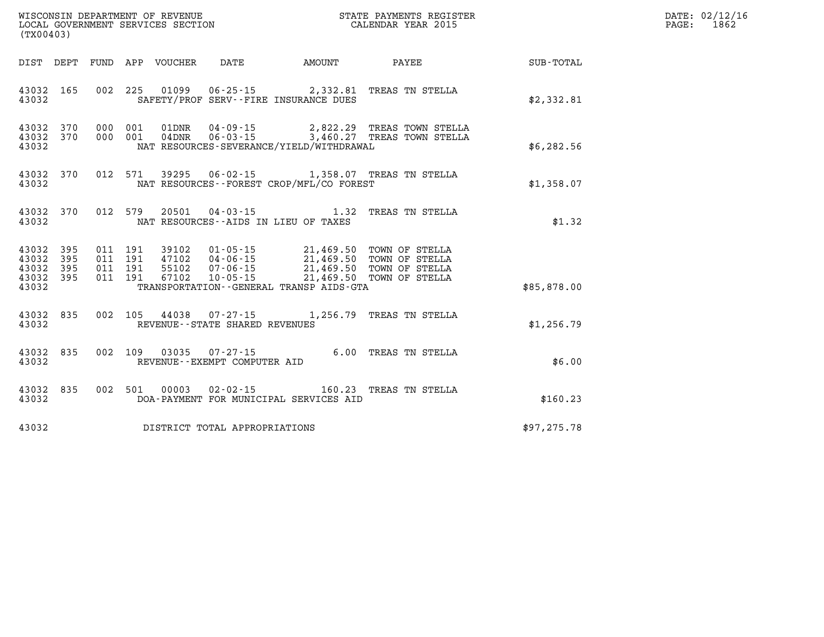|                                  | (TX00403)                      |                   |                                          |  |                                   |                                                                                                                                                                                                                              |                                                                                                        |              | DATE: 02/12/16<br>$\mathtt{PAGE:}$<br>1862 |
|----------------------------------|--------------------------------|-------------------|------------------------------------------|--|-----------------------------------|------------------------------------------------------------------------------------------------------------------------------------------------------------------------------------------------------------------------------|--------------------------------------------------------------------------------------------------------|--------------|--------------------------------------------|
|                                  |                                |                   |                                          |  |                                   |                                                                                                                                                                                                                              |                                                                                                        |              |                                            |
| 43032                            |                                |                   |                                          |  |                                   | SAFETY/PROF SERV--FIRE INSURANCE DUES                                                                                                                                                                                        | 43032 165 002 225 01099 06-25-15 2,332.81 TREAS TN STELLA                                              | \$2,332.81   |                                            |
| 43032                            | 43032 370                      | 43032 370 000 001 |                                          |  |                                   | NAT RESOURCES-SEVERANCE/YIELD/WITHDRAWAL                                                                                                                                                                                     | 000 001 01DNR 04-09-15 2,822.29 TREAS TOWN STELLA<br>000 001 04DNR 06-03-15 3,460.27 TREAS TOWN STELLA | \$6,282.56   |                                            |
| 43032                            |                                |                   |                                          |  |                                   | NAT RESOURCES--FOREST CROP/MFL/CO FOREST                                                                                                                                                                                     | 43032 370 012 571 39295 06-02-15 1,358.07 TREAS TN STELLA                                              | \$1,358.07   |                                            |
| 43032                            |                                |                   |                                          |  |                                   | NAT RESOURCES--AIDS IN LIEU OF TAXES                                                                                                                                                                                         | 43032 370 012 579 20501 04-03-15 1.32 TREAS TN STELLA                                                  | \$1.32       |                                            |
| 43032<br>43032<br>43032<br>43032 | 43032 395<br>395<br>395<br>395 |                   | 011 191<br>011 191<br>011 191<br>011 191 |  |                                   | 39102  01-05-15  21,469.50 TOWN OF STELLA<br>47102  04-06-15  21,469.50 TOWN OF STELLA<br>55102  07-06-15  21,469.50 TOWN OF STELLA<br>67102  10-05-15  21,469.50  TOWN OF STELLA<br>TRANSPORTATION--GENERAL TRANSP AIDS-GTA |                                                                                                        | \$85,878.00  |                                            |
| 43032                            |                                |                   |                                          |  | REVENUE - - STATE SHARED REVENUES |                                                                                                                                                                                                                              | 43032 835 002 105 44038 07-27-15 1,256.79 TREAS TN STELLA                                              | \$1,256.79   |                                            |
| 43032                            | 43032 835                      |                   |                                          |  | REVENUE--EXEMPT COMPUTER AID      |                                                                                                                                                                                                                              | 002 109 03035 07-27-15 6.00 TREAS TN STELLA                                                            | \$6.00       |                                            |
| 43032                            |                                |                   |                                          |  |                                   | DOA-PAYMENT FOR MUNICIPAL SERVICES AID                                                                                                                                                                                       | 43032 835 002 501 00003 02-02-15 160.23 TREAS TN STELLA                                                | \$160.23     |                                            |
| 43032                            |                                |                   |                                          |  | DISTRICT TOTAL APPROPRIATIONS     |                                                                                                                                                                                                                              |                                                                                                        | \$97, 275.78 |                                            |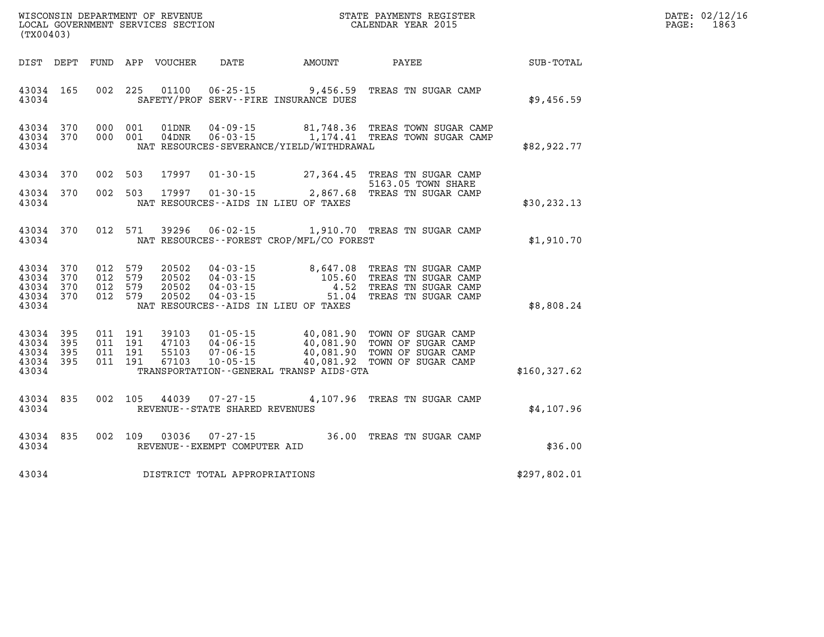| DATE: | 02/12/16 |
|-------|----------|
| PAGE: | 1863     |

| (TX00403)                                                             |                          | WISCONSIN DEPARTMENT OF REVENUE<br>LOCAL GOVERNMENT SERVICES SECTION |                                                                                                                 |                                                  | STATE PAYMENTS REGISTER<br>CALENDAR YEAR 2015                                            |                  |
|-----------------------------------------------------------------------|--------------------------|----------------------------------------------------------------------|-----------------------------------------------------------------------------------------------------------------|--------------------------------------------------|------------------------------------------------------------------------------------------|------------------|
| DIST<br>DEPT                                                          | <b>FUND</b>              | APP<br><b>VOUCHER</b>                                                | <b>DATE</b>                                                                                                     | <b>AMOUNT</b>                                    | PAYEE                                                                                    | <b>SUB-TOTAL</b> |
| 165<br>43034<br>43034                                                 | 002                      | 225<br>01100                                                         | $06 - 25 - 15$<br>SAFETY/PROF SERV--FIRE INSURANCE DUES                                                         | 9,456.59                                         | TREAS TN SUGAR CAMP                                                                      | \$9,456.59       |
| 370<br>43034<br>43034<br>370<br>43034                                 | 000<br>000               | 001<br>01DNR<br>001<br>$04$ DNR                                      | $04 - 09 - 15$<br>$06 - 03 - 15$<br>NAT RESOURCES-SEVERANCE/YIELD/WITHDRAWAL                                    | 81,748.36<br>1,174.41                            | TREAS TOWN SUGAR CAMP<br>TREAS TOWN SUGAR CAMP                                           | \$82,922.77      |
| 370<br>43034                                                          | 002                      | 503<br>17997                                                         | $01 - 30 - 15$                                                                                                  | 27,364.45                                        | TREAS TN SUGAR CAMP<br>5163.05 TOWN SHARE                                                |                  |
| 43034<br>370<br>43034                                                 | 002                      | 503<br>17997                                                         | $01 - 30 - 15$<br>NAT RESOURCES -- AIDS IN LIEU OF TAXES                                                        | 2,867.68                                         | TREAS TN SUGAR CAMP                                                                      | \$30, 232.13     |
| 43034<br>370<br>43034                                                 | 012                      | 571<br>39296                                                         | $06 - 02 - 15$<br>NAT RESOURCES - - FOREST CROP/MFL/CO FOREST                                                   |                                                  | 1,910.70 TREAS TN SUGAR CAMP                                                             | \$1,910.70       |
| 43034<br>370<br>43034<br>370<br>370<br>43034<br>43034<br>370<br>43034 | 012<br>012<br>012<br>012 | 579<br>20502<br>579<br>20502<br>579<br>20502<br>579<br>20502         | $04 - 03 - 15$<br>$04 - 03 - 15$<br>$04 - 03 - 15$<br>$04 - 03 - 15$<br>NAT RESOURCES -- AIDS IN LIEU OF TAXES  | 8,647.08<br>105.60<br>4.52<br>51.04              | TREAS TN SUGAR CAMP<br>TREAS TN SUGAR CAMP<br>TREAS TN SUGAR CAMP<br>TREAS TN SUGAR CAMP | \$8,808.24       |
| 395<br>43034<br>43034<br>395<br>43034<br>395<br>43034<br>395<br>43034 | 011<br>011<br>011<br>011 | 191<br>39103<br>191<br>47103<br>191<br>55103<br>191<br>67103         | $01 - 05 - 15$<br>$04 - 06 - 15$<br>$07 - 06 - 15$<br>$10 - 05 - 15$<br>TRANSPORTATION--GENERAL TRANSP AIDS-GTA | 40,081.90<br>40,081.90<br>40,081.90<br>40,081.92 | TOWN OF SUGAR CAMP<br>TOWN OF SUGAR CAMP<br>TOWN OF SUGAR CAMP<br>TOWN OF SUGAR CAMP     | \$160,327.62     |
| 43034<br>835<br>43034                                                 | 002                      | 105<br>44039                                                         | $07 - 27 - 15$<br>REVENUE - - STATE SHARED REVENUES                                                             | 4,107.96                                         | TREAS TN SUGAR CAMP                                                                      | \$4,107.96       |
| 43034<br>835<br>43034                                                 | 002                      | 109<br>03036                                                         | $07 - 27 - 15$<br>REVENUE - - EXEMPT COMPUTER AID                                                               | 36.00                                            | TREAS TN SUGAR CAMP                                                                      | \$36.00          |
| 43034                                                                 |                          |                                                                      | DISTRICT TOTAL APPROPRIATIONS                                                                                   |                                                  |                                                                                          | \$297,802.01     |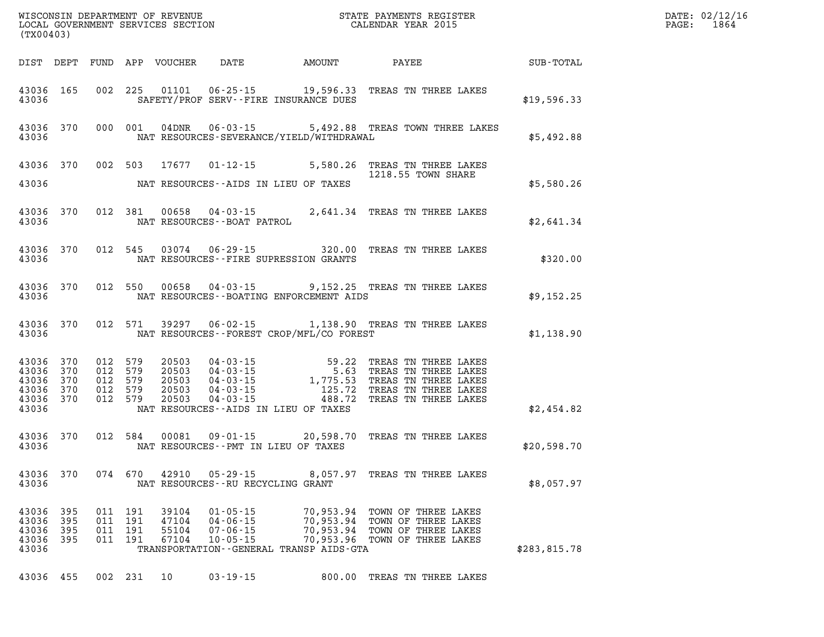| WISCONSIN DEPARTMENT OF REVENUE<br>LOCAL GOVERNMENT SERVICES SECTION TERM CONFINENTS REGISTER<br>CALENDAR YEAR 2015<br>(TX00403) |                          |                               |                          |                                  |                                                                      |                                                                                             |                                                                                                                                                                                                                                                                                    | $\mathbf{E} \mathbf{R}$                                           | DATE: 02/12/16<br>$\mathtt{PAGE:}$<br>1864 |
|----------------------------------------------------------------------------------------------------------------------------------|--------------------------|-------------------------------|--------------------------|----------------------------------|----------------------------------------------------------------------|---------------------------------------------------------------------------------------------|------------------------------------------------------------------------------------------------------------------------------------------------------------------------------------------------------------------------------------------------------------------------------------|-------------------------------------------------------------------|--------------------------------------------|
|                                                                                                                                  |                          |                               |                          |                                  |                                                                      |                                                                                             |                                                                                                                                                                                                                                                                                    |                                                                   |                                            |
|                                                                                                                                  | 43036 165<br>43036       |                               |                          |                                  |                                                                      |                                                                                             |                                                                                                                                                                                                                                                                                    | 002 225 01101 06-25-15 19,596.33 TREAS TN THREE LAKES \$19,596.33 |                                            |
|                                                                                                                                  |                          |                               |                          |                                  |                                                                      | 43036 NAT RESOURCES-SEVERANCE/YIELD/WITHDRAWAL                                              | 43036 370 000 001 04DNR 06-03-15 5,492.88 TREAS TOWN THREE LAKES                                                                                                                                                                                                                   | \$5,492.88                                                        |                                            |
|                                                                                                                                  |                          |                               |                          |                                  |                                                                      |                                                                                             | 43036 370 002 503 17677 01-12-15 5,580.26 TREAS TN THREE LAKES                                                                                                                                                                                                                     |                                                                   |                                            |
|                                                                                                                                  |                          |                               |                          |                                  |                                                                      | 43036 MAT RESOURCES--AIDS IN LIEU OF TAXES                                                  |                                                                                                                                                                                                                                                                                    | \$5,580.26                                                        |                                            |
|                                                                                                                                  |                          |                               |                          |                                  |                                                                      |                                                                                             | 43036 370 012 381 00658 04-03-15 2,641.34 TREAS TN THREE LAKES 43036 NAT RESOURCES--BOAT PATROL                                                                                                                                                                                    | \$2,641.34                                                        |                                            |
|                                                                                                                                  |                          |                               |                          |                                  |                                                                      | 43036 MAT RESOURCES--FIRE SUPRESSION GRANTS                                                 | 43036 370 012 545 03074 06-29-15 320.00 TREAS TN THREE LAKES                                                                                                                                                                                                                       | \$320.00                                                          |                                            |
|                                                                                                                                  |                          |                               |                          |                                  |                                                                      | 43036 MAT RESOURCES - BOATING ENFORCEMENT AIDS                                              | 43036 370 012 550 00658 04-03-15 9,152.25 TREAS TN THREE LAKES                                                                                                                                                                                                                     | REAS TN THREE LAKES<br>\$9,152.25                                 |                                            |
|                                                                                                                                  |                          |                               |                          |                                  |                                                                      | 43036 NAT RESOURCES--FOREST CROP/MFL/CO FOREST                                              | 43036 370 012 571 39297 06-02-15 1,138.90 TREAS TN THREE LAKES                                                                                                                                                                                                                     | \$1,138.90                                                        |                                            |
| 43036 370<br>43036 370<br>43036 370                                                                                              |                          | 012 579<br>012 579<br>012 579 |                          | 20503<br>20503<br>20503          |                                                                      |                                                                                             | 04-03-15<br>04-03-15<br>04-03-15<br>04-03-15<br>04-03-15<br>04-03-15<br>04-03-15<br>04-03-15<br>04-03-15<br>04-03-15<br>04-03-15<br>04-03-15<br>05-25<br>05-25<br>05-27<br>05-27<br>05-27<br>05-27<br>05-27<br>05-27<br>05-27<br>05-27<br>05-27<br>05-27<br>05-27<br>05-27<br>05-2 |                                                                   |                                            |
| 43036 370<br>43036                                                                                                               | 43036 370 012 579        | 012 579                       |                          | 20503<br>20503                   |                                                                      | NAT RESOURCES--AIDS IN LIEU OF TAXES                                                        |                                                                                                                                                                                                                                                                                    | \$2,454.82                                                        |                                            |
|                                                                                                                                  |                          |                               |                          |                                  |                                                                      | 43036 NAT RESOURCES - PMT IN LIEU OF TAXES                                                  | 43036 370 012 584 00081 09-01-15 20,598.70 TREAS TN THREE LAKES                                                                                                                                                                                                                    | \$20,598.70                                                       |                                            |
| 43036                                                                                                                            |                          |                               |                          |                                  | NAT RESOURCES--RU RECYCLING GRANT                                    |                                                                                             | 43036 370 074 670 42910 05-29-15 8,057.97 TREAS TN THREE LAKES                                                                                                                                                                                                                     | \$8,057.97                                                        |                                            |
| 43036<br>43036<br>43036<br>43036<br>43036                                                                                        | 395<br>395<br>395<br>395 | 011<br>011<br>011<br>011      | 191<br>191<br>191<br>191 | 39104<br>47104<br>55104<br>67104 | $01 - 05 - 15$<br>$04 - 06 - 15$<br>$07 - 06 - 15$<br>$10 - 05 - 15$ | 70,953.94<br>70,953.94<br>70,953.94<br>70,953.96<br>TRANSPORTATION--GENERAL TRANSP AIDS-GTA | TOWN OF THREE LAKES<br>TOWN OF THREE LAKES<br>TOWN OF THREE LAKES<br>TOWN OF THREE LAKES                                                                                                                                                                                           | \$283,815.78                                                      |                                            |
| 43036 455                                                                                                                        |                          |                               | 002 231                  | 10                               | $03 - 19 - 15$                                                       |                                                                                             | 800.00 TREAS TN THREE LAKES                                                                                                                                                                                                                                                        |                                                                   |                                            |
|                                                                                                                                  |                          |                               |                          |                                  |                                                                      |                                                                                             |                                                                                                                                                                                                                                                                                    |                                                                   |                                            |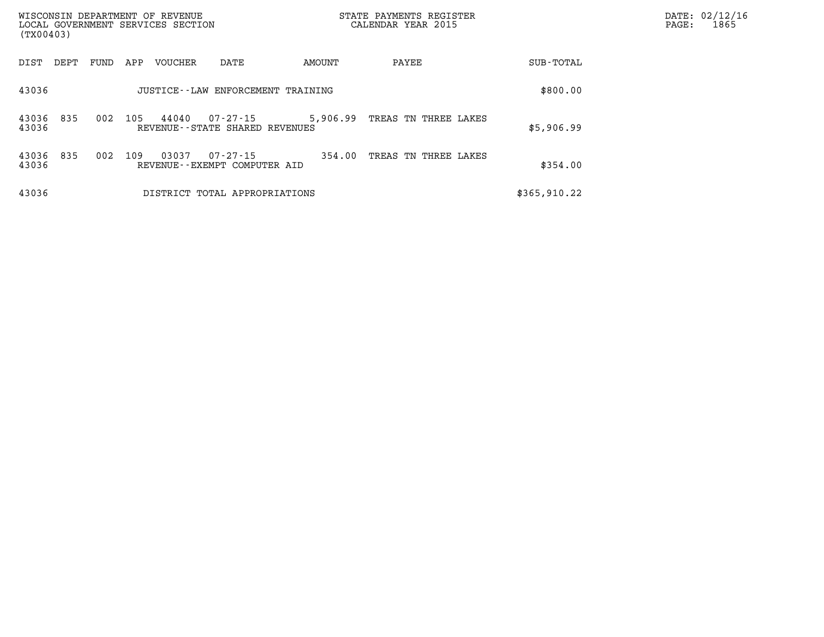| (TX00403)      |      |      |     | WISCONSIN DEPARTMENT OF REVENUE<br>LOCAL GOVERNMENT SERVICES SECTION |                                                     |          | STATE PAYMENTS REGISTER<br>CALENDAR YEAR 2015 |               | PAGE: | DATE: 02/12/16<br>1865 |
|----------------|------|------|-----|----------------------------------------------------------------------|-----------------------------------------------------|----------|-----------------------------------------------|---------------|-------|------------------------|
| DIST           | DEPT | FUND | APP | <b>VOUCHER</b>                                                       | DATE                                                | AMOUNT   | PAYEE                                         | SUB-TOTAL     |       |                        |
| 43036          |      |      |     |                                                                      | JUSTICE - - LAW ENFORCEMENT TRAINING                |          |                                               | \$800.00      |       |                        |
| 43036<br>43036 | 835  | 002  | 105 | 44040                                                                | $07 - 27 - 15$<br>REVENUE - - STATE SHARED REVENUES | 5,906.99 | TREAS TN THREE LAKES                          | \$5,906.99    |       |                        |
| 43036<br>43036 | 835  | 002  | 109 | 03037                                                                | $07 - 27 - 15$<br>REVENUE--EXEMPT COMPUTER AID      | 354.00   | TREAS TN THREE LAKES                          | \$354.00      |       |                        |
| 43036          |      |      |     |                                                                      | DISTRICT TOTAL APPROPRIATIONS                       |          |                                               | \$365, 910.22 |       |                        |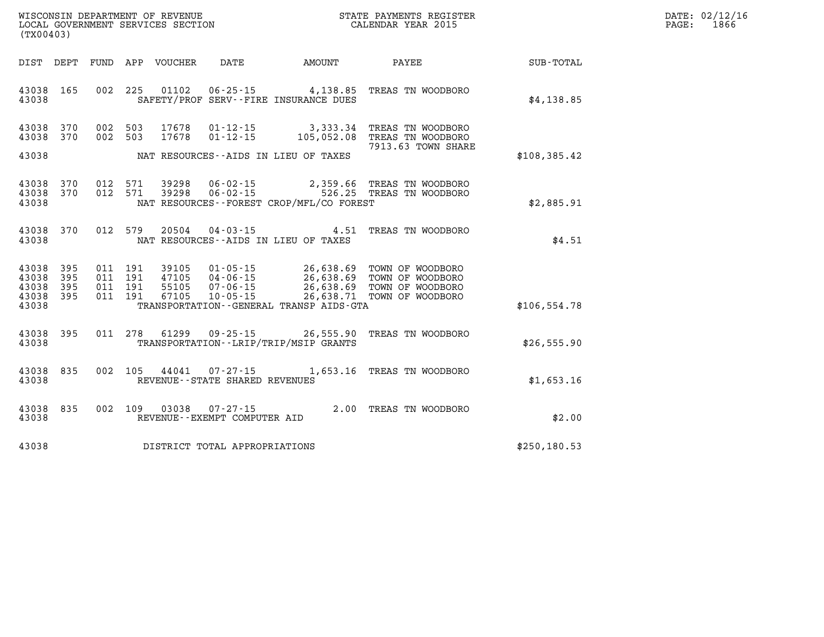| $\mathtt{DATE}$ : | 02/12/16 |
|-------------------|----------|
| $\mathtt{PAGE}$ : | 1866     |

| (TX00403)                        |                          |                          | WISCONSIN DEPARTMENT OF REVENUE<br>LOCAL GOVERNMENT SERVICES SECTION |                                                                      | STATE PAYMENTS REGISTER<br>CALENDAR YEAR 2015                     |                                                                              |               |  |
|----------------------------------|--------------------------|--------------------------|----------------------------------------------------------------------|----------------------------------------------------------------------|-------------------------------------------------------------------|------------------------------------------------------------------------------|---------------|--|
| DIST                             | DEPT                     | FUND                     | APP<br>VOUCHER                                                       | DATE                                                                 | AMOUNT                                                            | PAYEE                                                                        | SUB-TOTAL     |  |
| 43038<br>43038                   | 165                      | 002                      | 225<br>01102                                                         | $06 - 25 - 15$                                                       | SAFETY/PROF SERV--FIRE INSURANCE DUES                             | 4,138.85 TREAS TN WOODBORO                                                   | \$4,138.85    |  |
| 43038<br>43038                   | 370<br>370               | 002<br>002               | 503<br>17678<br>503<br>17678                                         | $01 - 12 - 15$<br>$01 - 12 - 15$                                     | 3,333.34<br>105,052.08                                            | TREAS TN WOODBORO<br>TREAS TN WOODBORO<br>7913.63 TOWN SHARE                 |               |  |
| 43038                            |                          |                          |                                                                      |                                                                      | NAT RESOURCES--AIDS IN LIEU OF TAXES                              |                                                                              | \$108,385.42  |  |
| 43038<br>43038<br>43038          | 370<br>370               | 012<br>012               | 571<br>39298<br>39298<br>571                                         | $06 - 02 - 15$<br>$06 - 02 - 15$                                     | 2,359.66<br>526.25<br>NAT RESOURCES - - FOREST CROP/MFL/CO FOREST | TREAS TN WOODBORO<br>TREAS TN WOODBORO                                       | \$2,885.91    |  |
| 43038<br>43038                   | 370                      | 012                      | 579<br>20504                                                         | $04 - 03 - 15$                                                       | 4.51<br>NAT RESOURCES -- AIDS IN LIEU OF TAXES                    | TREAS TN WOODBORO                                                            | \$4.51        |  |
| 43038<br>43038<br>43038<br>43038 | 395<br>395<br>395<br>395 | 011<br>011<br>011<br>011 | 191<br>39105<br>191<br>47105<br>191<br>55105<br>191<br>67105         | $01 - 05 - 15$<br>$04 - 06 - 15$<br>$07 - 06 - 15$<br>$10 - 05 - 15$ | 26,638.69<br>26,638.69<br>26,638.69<br>26,638.71                  | TOWN OF WOODBORO<br>TOWN OF WOODBORO<br>TOWN OF WOODBORO<br>TOWN OF WOODBORO |               |  |
| 43038                            |                          |                          |                                                                      |                                                                      | TRANSPORTATION--GENERAL TRANSP AIDS-GTA                           |                                                                              | \$106, 554.78 |  |
| 43038<br>43038                   | 395                      | 011                      | 278<br>61299                                                         | $09 - 25 - 15$                                                       | 26,555.90<br>TRANSPORTATION - - LRIP/TRIP/MSIP GRANTS             | TREAS TN WOODBORO                                                            | \$26,555.90   |  |
| 43038<br>43038                   | 835                      | 002                      | 105<br>44041                                                         | $07 - 27 - 15$<br>REVENUE - - STATE SHARED REVENUES                  | 1,653.16                                                          | TREAS TN WOODBORO                                                            | \$1,653.16    |  |
| 43038<br>43038                   | 835                      | 002                      | 109<br>03038                                                         | $07 - 27 - 15$<br>REVENUE--EXEMPT COMPUTER AID                       |                                                                   | 2.00 TREAS TN WOODBORO                                                       | \$2.00        |  |
| 43038                            |                          |                          |                                                                      | DISTRICT TOTAL APPROPRIATIONS                                        |                                                                   |                                                                              | \$250, 180.53 |  |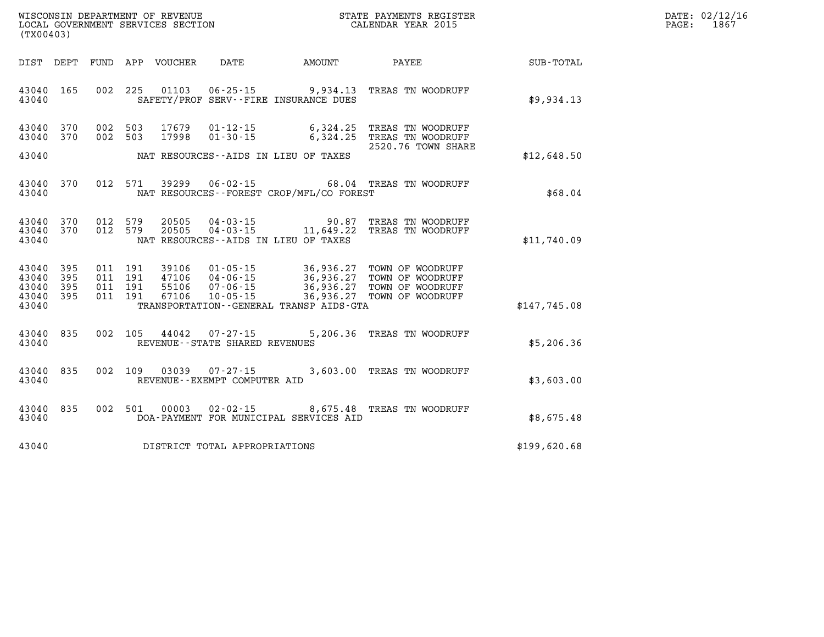| WISCONSIN DEPARTMENT OF REVENUE   | STATE PAYMENTS REGISTER | 02/12/16<br>DATE: |
|-----------------------------------|-------------------------|-------------------|
| LOCAL GOVERNMENT SERVICES SECTION | CALENDAR YEAR 2015      | 1867<br>PAGE      |

| (TX00403)                                 |                          |                          |                          |                                  |                                                                      |                                                                                |                                                                                        |              |
|-------------------------------------------|--------------------------|--------------------------|--------------------------|----------------------------------|----------------------------------------------------------------------|--------------------------------------------------------------------------------|----------------------------------------------------------------------------------------|--------------|
| DIST                                      | DEPT                     | FUND                     |                          | APP VOUCHER                      | DATE                                                                 | AMOUNT                                                                         | PAYEE                                                                                  | SUB-TOTAL    |
| 43040<br>43040                            | 165                      | 002                      | 225                      | 01103                            |                                                                      | $06 - 25 - 15$ 9,934.13<br>SAFETY/PROF SERV--FIRE INSURANCE DUES               | TREAS TN WOODRUFF                                                                      | \$9,934.13   |
| 43040<br>43040                            | 370<br>370               | 002<br>002               | 503<br>503               | 17679<br>17998                   | $01 - 12 - 15$<br>$01 - 30 - 15$                                     | 6,324.25<br>6,324.25                                                           | TREAS TN WOODRUFF<br>TREAS TN WOODRUFF<br>2520.76 TOWN SHARE                           |              |
| 43040                                     |                          |                          |                          |                                  |                                                                      | NAT RESOURCES -- AIDS IN LIEU OF TAXES                                         |                                                                                        | \$12,648.50  |
| 43040<br>43040                            | 370                      | 012                      | 571                      | 39299                            | $06 - 02 - 15$                                                       | NAT RESOURCES - - FOREST CROP/MFL/CO FOREST                                    | 68.04 TREAS TN WOODRUFF                                                                | \$68.04      |
| 43040<br>43040<br>43040                   | 370<br>370               | 012<br>012               | 579<br>579               | 20505<br>20505                   | $04 - 03 - 15$<br>$04 - 03 - 15$                                     | 90.87<br>11,649.22<br>NAT RESOURCES -- AIDS IN LIEU OF TAXES                   | TREAS TN WOODRUFF<br>TREAS TN WOODRUFF                                                 | \$11,740.09  |
| 43040<br>43040<br>43040<br>43040<br>43040 | 395<br>395<br>395<br>395 | 011<br>011<br>011<br>011 | 191<br>191<br>191<br>191 | 39106<br>47106<br>55106<br>67106 | $01 - 05 - 15$<br>$04 - 06 - 15$<br>$07 - 06 - 15$<br>$10 - 05 - 15$ | 36,936.27<br>36,936.27<br>36,936.27<br>TRANSPORTATION--GENERAL TRANSP AIDS-GTA | TOWN OF WOODRUFF<br>TOWN OF WOODRUFF<br>36,936.27 TOWN OF WOODRUFF<br>TOWN OF WOODRUFF | \$147,745.08 |
|                                           |                          |                          |                          |                                  |                                                                      |                                                                                |                                                                                        |              |
| 43040<br>43040                            | 835                      | 002                      | 105                      | 44042                            | $07 - 27 - 15$<br>REVENUE - - STATE SHARED REVENUES                  | 5,206.36                                                                       | TREAS TN WOODRUFF                                                                      | \$5,206.36   |
| 43040<br>43040                            | 835                      | 002                      | 109                      | 03039                            | $07 - 27 - 15$<br>REVENUE--EXEMPT COMPUTER AID                       | 3,603.00                                                                       | TREAS TN WOODRUFF                                                                      | \$3,603.00   |
| 43040<br>43040                            | 835                      | 002                      | 501                      | 00003                            | $02 - 02 - 15$                                                       | DOA-PAYMENT FOR MUNICIPAL SERVICES AID                                         | 8,675.48 TREAS TN WOODRUFF                                                             | \$8,675.48   |
| 43040                                     |                          |                          |                          |                                  | DISTRICT TOTAL APPROPRIATIONS                                        |                                                                                |                                                                                        | \$199,620.68 |

WISCONSIN DEPARTMENT OF REVENUE **STATE PAYMENTS REGISTER** LOCAL GOVERNMENT SERVICES SECTION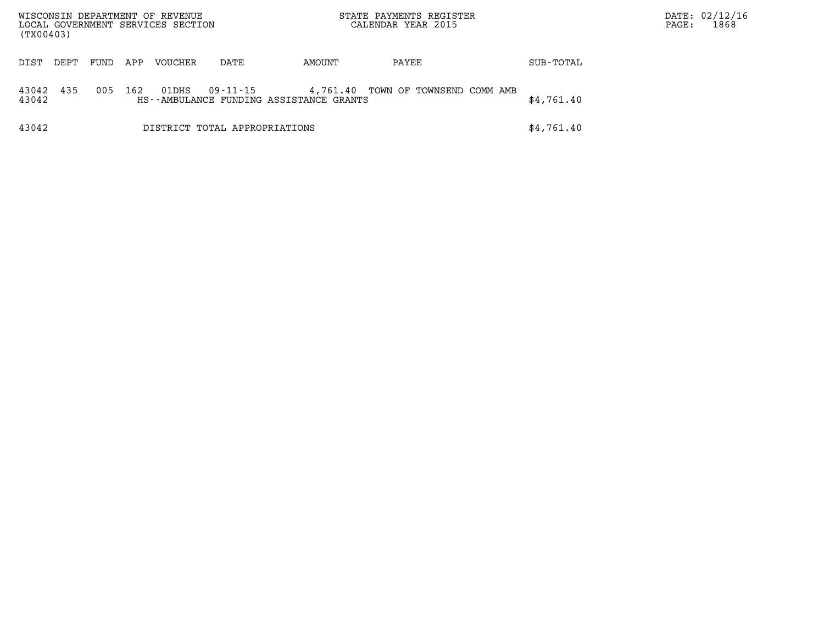| WISCONSIN DEPARTMENT OF REVENUE<br>LOCAL GOVERNMENT SERVICES SECTION<br>(TX00403) |      |      |     |                |                               | STATE PAYMENTS REGISTER<br>CALENDAR YEAR 2015       |                           |  |            | DATE: 02/12/16<br>PAGE: | 1868 |
|-----------------------------------------------------------------------------------|------|------|-----|----------------|-------------------------------|-----------------------------------------------------|---------------------------|--|------------|-------------------------|------|
| DIST                                                                              | DEPT | FUND | APP | <b>VOUCHER</b> | DATE                          | AMOUNT                                              | PAYEE                     |  | SUB-TOTAL  |                         |      |
| 43042<br>43042                                                                    | 435  | 005  | 162 | 01DHS          | 09-11-15                      | 4,761.40<br>HS--AMBULANCE FUNDING ASSISTANCE GRANTS | TOWN OF TOWNSEND COMM AMB |  | \$4,761.40 |                         |      |
| 43042                                                                             |      |      |     |                | DISTRICT TOTAL APPROPRIATIONS |                                                     |                           |  | \$4,761.40 |                         |      |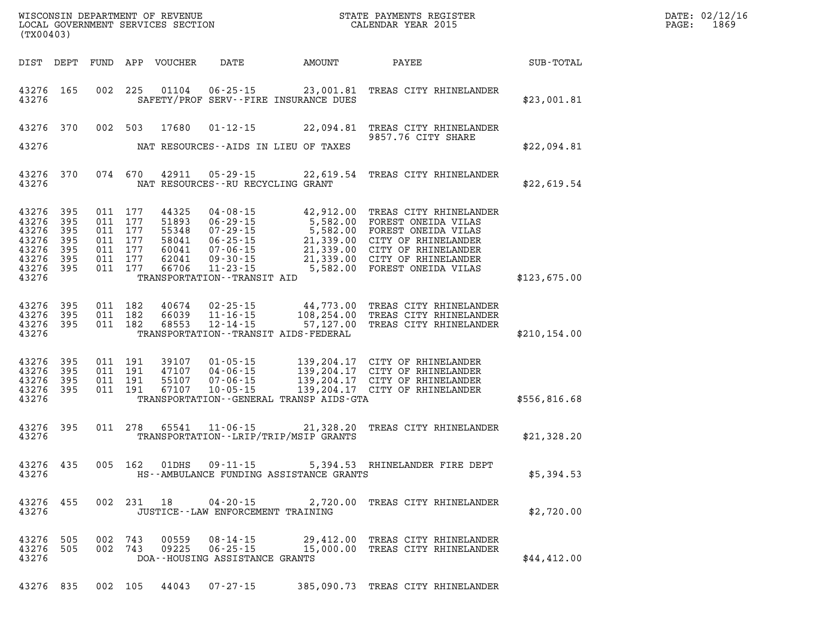| (TX00403)                                                                        |                          |                                                                           | WISCONSIN DEPARTMENT OF REVENUE<br>LOCAL GOVERNMENT SERVICES SECTION |                                                                                                                                                        |                                           | STATE PAYMENTS REGISTER<br>CALENDAR YEAR 2015                                                                                                                                                                                       |               | DATE: 02/12/1<br>PAGE:<br>1869 |
|----------------------------------------------------------------------------------|--------------------------|---------------------------------------------------------------------------|----------------------------------------------------------------------|--------------------------------------------------------------------------------------------------------------------------------------------------------|-------------------------------------------|-------------------------------------------------------------------------------------------------------------------------------------------------------------------------------------------------------------------------------------|---------------|--------------------------------|
|                                                                                  |                          |                                                                           | DIST DEPT FUND APP VOUCHER                                           | DATE                                                                                                                                                   | AMOUNT                                    | PAYEE                                                                                                                                                                                                                               | SUB-TOTAL     |                                |
| 43276 165<br>43276                                                               |                          |                                                                           |                                                                      |                                                                                                                                                        | SAFETY/PROF SERV--FIRE INSURANCE DUES     | 002 225 01104 06-25-15 23,001.81 TREAS CITY RHINELANDER                                                                                                                                                                             | \$23,001.81   |                                |
| 43276 370                                                                        |                          | 002 503                                                                   | 17680                                                                | $01 - 12 - 15$                                                                                                                                         |                                           | 22,094.81 TREAS CITY RHINELANDER<br>9857.76 CITY SHARE                                                                                                                                                                              |               |                                |
| 43276                                                                            |                          |                                                                           |                                                                      |                                                                                                                                                        | NAT RESOURCES--AIDS IN LIEU OF TAXES      |                                                                                                                                                                                                                                     | \$22,094.81   |                                |
| 43276 370<br>43276                                                               |                          |                                                                           | 074 670 42911                                                        | 05-29-15<br>NAT RESOURCES--RU RECYCLING GRANT                                                                                                          |                                           | 22,619.54 TREAS CITY RHINELANDER                                                                                                                                                                                                    | \$22,619.54   |                                |
| 43276 395<br>43276<br>43276<br>43276<br>43276<br>43276 395<br>43276 395<br>43276 | 395<br>395<br>395<br>395 | 011 177<br>011 177<br>011 177<br>011 177<br>011 177<br>011 177<br>011 177 | 44325<br>51893<br>55348<br>58041<br>60041<br>62041<br>66706          | $04 - 08 - 15$<br>$06 - 29 - 15$<br>$07 - 29 - 15$<br>$06 - 25 - 15$<br>07-06-15<br>$09 - 30 - 15$<br>$11 - 23 - 15$<br>TRANSPORTATION - - TRANSIT AID |                                           | 42,912.00 TREAS CITY RHINELANDER<br>5,582.00 IREAS CITY RHINELAND<br>5,582.00 FOREST ONEIDA VILAS<br>5,582.00 FOREST ONEIDA VILAS<br>21,339.00 CITY OF RHINELANDER<br>21,339.00 CITY OF RHINELANDER<br>5,582.00 FOREST ONEIDA VILAS | \$123,675.00  |                                |
| 43276 395<br>43276<br>43276 395<br>43276                                         | 395                      | 011 182<br>011 182<br>011 182                                             | 40674<br>66039<br>68553                                              | $02 - 25 - 15$<br>$11 - 16 - 15$<br>$12 - 14 - 15$                                                                                                     | TRANSPORTATION - - TRANSIT AIDS - FEDERAL | 44,773.00 TREAS CITY RHINELANDER<br>108,254.00 TREAS CITY RHINELANDER<br>57,127.00 TREAS CITY RHINELANDER                                                                                                                           | \$210, 154.00 |                                |
| 43276 395<br>43276<br>43276 395<br>43276 395<br>43276                            | 395                      | 011 191<br>011 191<br>011 191                                             | 011 191 39107<br>47107<br>55107<br>67107                             | $04 - 06 - 15$<br>$07 - 06 - 15$<br>$10 - 05 - 15$                                                                                                     | TRANSPORTATION--GENERAL TRANSP AIDS-GTA   | 01-05-15 139,204.17 CITY OF RHINELANDER<br>139,204.17 CITY OF RHINELANDER<br>139,204.17 CITY OF RHINELANDER<br>139,204.17 CITY OF RHINELANDER                                                                                       | \$556,816.68  |                                |
| 43276 395<br>43276                                                               |                          |                                                                           | 011 278 65541                                                        |                                                                                                                                                        | TRANSPORTATION - - LRIP/TRIP/MSIP GRANTS  | 11-06-15 21,328.20 TREAS CITY RHINELANDER                                                                                                                                                                                           | \$21,328.20   |                                |
| 43276 435<br>43276                                                               |                          | 005 162                                                                   | 01DHS                                                                | 09-11-15                                                                                                                                               | HS--AMBULANCE FUNDING ASSISTANCE GRANTS   | 5,394.53 RHINELANDER FIRE DEPT                                                                                                                                                                                                      | \$5,394.53    |                                |
| 43276                                                                            | 43276 455                |                                                                           |                                                                      | 002 231 18 04-20-15<br>JUSTICE - - LAW ENFORCEMENT TRAINING                                                                                            |                                           | 2,720.00 TREAS CITY RHINELANDER                                                                                                                                                                                                     | \$2,720.00    |                                |
| 43276 505<br>43276                                                               | 43276 505                | 002 743<br>002 743                                                        | 00559<br>09225                                                       | 08-14-15<br>06-25-15<br>DOA--HOUSING ASSISTANCE GRANTS                                                                                                 |                                           | 29,412.00 TREAS CITY RHINELANDER<br>15,000.00 TREAS CITY RHINELANDER                                                                                                                                                                | \$44,412.00   |                                |
|                                                                                  |                          |                                                                           | 43276 835 002 105 44043                                              | $07 - 27 - 15$                                                                                                                                         |                                           | 385,090.73 TREAS CITY RHINELANDER                                                                                                                                                                                                   |               |                                |

**DATE: 02/12/16<br>PAGE: 1869**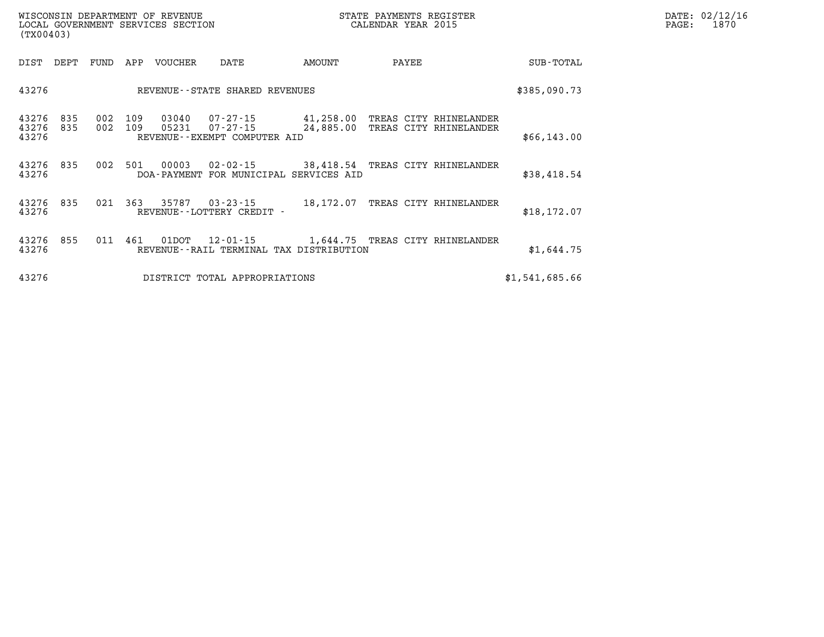| DATE: | 02/12/16 |
|-------|----------|
| PAGE: | 1870     |

| WISCONSIN DEPARTMENT OF REVENUE<br>LOCAL GOVERNMENT SERVICES SECTION<br>(TX00403) |                                                                                            |                                                                            |                |
|-----------------------------------------------------------------------------------|--------------------------------------------------------------------------------------------|----------------------------------------------------------------------------|----------------|
| DIST<br>DEPT<br>FUND                                                              | APP<br><b>VOUCHER</b><br>DATE                                                              | AMOUNT<br>PAYEE                                                            | SUB-TOTAL      |
| 43276                                                                             | REVENUE - - STATE SHARED REVENUES                                                          |                                                                            | \$385,090.73   |
| 43276<br>835<br>002<br>43276<br>002<br>835<br>43276                               | 109<br>03040<br>07-27-15<br>109<br>05231<br>$07 - 27 - 15$<br>REVENUE--EXEMPT COMPUTER AID | 41,258.00<br>TREAS CITY RHINELANDER<br>24,885.00<br>TREAS CITY RHINELANDER | \$66,143.00    |
| 43276<br>835<br>002<br>43276                                                      | 501<br>00003<br>$02 - 02 - 15$<br>DOA-PAYMENT FOR MUNICIPAL SERVICES AID                   | 38,418.54<br>TREAS CITY RHINELANDER                                        | \$38,418.54    |
| 43276<br>835<br>021<br>43276                                                      | 363<br>35787<br>$03 - 23 - 15$<br>REVENUE--LOTTERY CREDIT -                                | 18,172.07<br>TREAS CITY RHINELANDER                                        | \$18, 172.07   |
| 855<br>43276<br>011<br>43276                                                      | 461<br>01DOT<br>$12 - 01 - 15$<br>REVENUE--RAIL TERMINAL TAX DISTRIBUTION                  | 1,644.75<br>TREAS CITY RHINELANDER                                         | \$1,644.75     |
| 43276                                                                             | DISTRICT TOTAL APPROPRIATIONS                                                              |                                                                            | \$1,541,685.66 |